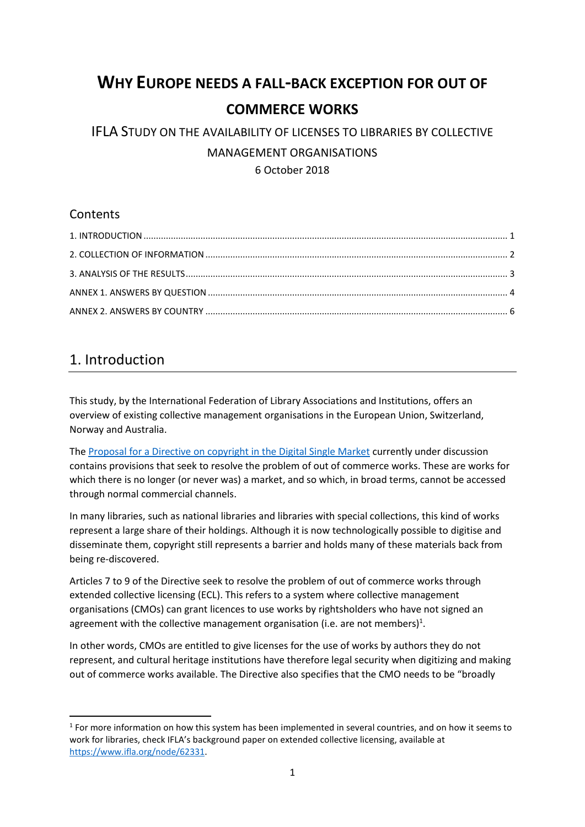# **WHY EUROPE NEEDS A FALL-BACK EXCEPTION FOR OUT OF COMMERCE WORKS**

## IFLA STUDY ON THE AVAILABILITY OF LICENSES TO LIBRARIES BY COLLECTIVE MANAGEMENT ORGANISATIONS 6 October 2018

### **Contents**

## 1. Introduction

**.** 

This study, by the International Federation of Library Associations and Institutions, offers an overview of existing collective management organisations in the European Union, Switzerland, Norway and Australia.

The [Proposal for a Directive on copyright in the Digital Single Market](https://eur-lex.europa.eu/legal-content/EN/TXT/PDF/?uri=CELEX:52016PC0593&from=EN) currently under discussion contains provisions that seek to resolve the problem of out of commerce works. These are works for which there is no longer (or never was) a market, and so which, in broad terms, cannot be accessed through normal commercial channels.

In many libraries, such as national libraries and libraries with special collections, this kind of works represent a large share of their holdings. Although it is now technologically possible to digitise and disseminate them, copyright still represents a barrier and holds many of these materials back from being re-discovered.

Articles 7 to 9 of the Directive seek to resolve the problem of out of commerce works through extended collective licensing (ECL). This refers to a system where collective management organisations (CMOs) can grant licences to use works by rightsholders who have not signed an agreement with the collective management organisation (i.e. are not members)<sup>1</sup>.

In other words, CMOs are entitled to give licenses for the use of works by authors they do not represent, and cultural heritage institutions have therefore legal security when digitizing and making out of commerce works available. The Directive also specifies that the CMO needs to be "broadly

 $<sup>1</sup>$  For more information on how this system has been implemented in several countries, and on how it seems to</sup> work for libraries, check IFLA's background paper on extended collective licensing, available at [https://www.ifla.org/node/62331.](https://www.ifla.org/node/62331)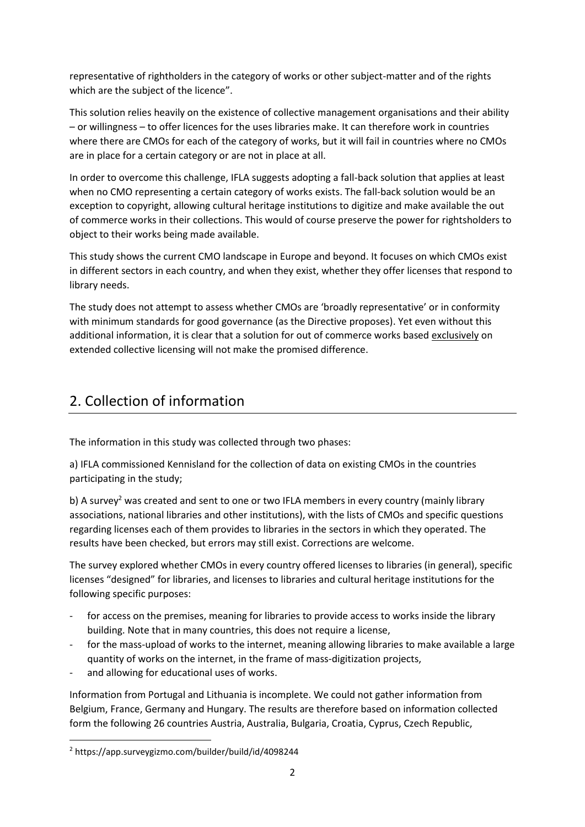representative of rightholders in the category of works or other subject-matter and of the rights which are the subject of the licence".

This solution relies heavily on the existence of collective management organisations and their ability – or willingness – to offer licences for the uses libraries make. It can therefore work in countries where there are CMOs for each of the category of works, but it will fail in countries where no CMOs are in place for a certain category or are not in place at all.

In order to overcome this challenge, IFLA suggests adopting a fall-back solution that applies at least when no CMO representing a certain category of works exists. The fall-back solution would be an exception to copyright, allowing cultural heritage institutions to digitize and make available the out of commerce works in their collections. This would of course preserve the power for rightsholders to object to their works being made available.

This study shows the current CMO landscape in Europe and beyond. It focuses on which CMOs exist in different sectors in each country, and when they exist, whether they offer licenses that respond to library needs.

The study does not attempt to assess whether CMOs are 'broadly representative' or in conformity with minimum standards for good governance (as the Directive proposes). Yet even without this additional information, it is clear that a solution for out of commerce works based exclusively on extended collective licensing will not make the promised difference.

# 2. Collection of information

The information in this study was collected through two phases:

a) IFLA commissioned Kennisland for the collection of data on existing CMOs in the countries participating in the study;

b) A survey<sup>2</sup> was created and sent to one or two IFLA members in every country (mainly library associations, national libraries and other institutions), with the lists of CMOs and specific questions regarding licenses each of them provides to libraries in the sectors in which they operated. The results have been checked, but errors may still exist. Corrections are welcome.

The survey explored whether CMOs in every country offered licenses to libraries (in general), specific licenses "designed" for libraries, and licenses to libraries and cultural heritage institutions for the following specific purposes:

- for access on the premises, meaning for libraries to provide access to works inside the library building. Note that in many countries, this does not require a license,
- for the mass-upload of works to the internet, meaning allowing libraries to make available a large quantity of works on the internet, in the frame of mass-digitization projects,
- and allowing for educational uses of works.

Information from Portugal and Lithuania is incomplete. We could not gather information from Belgium, France, Germany and Hungary. The results are therefore based on information collected form the following 26 countries Austria, Australia, Bulgaria, Croatia, Cyprus, Czech Republic,

1

<sup>2</sup> https://app.surveygizmo.com/builder/build/id/4098244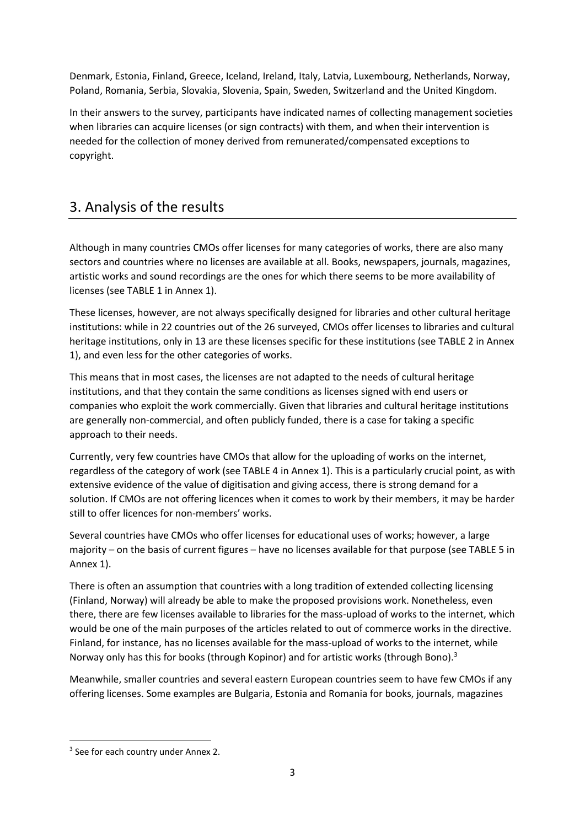Denmark, Estonia, Finland, Greece, Iceland, Ireland, Italy, Latvia, Luxembourg, Netherlands, Norway, Poland, Romania, Serbia, Slovakia, Slovenia, Spain, Sweden, Switzerland and the United Kingdom.

In their answers to the survey, participants have indicated names of collecting management societies when libraries can acquire licenses (or sign contracts) with them, and when their intervention is needed for the collection of money derived from remunerated/compensated exceptions to copyright.

### 3. Analysis of the results

Although in many countries CMOs offer licenses for many categories of works, there are also many sectors and countries where no licenses are available at all. Books, newspapers, journals, magazines, artistic works and sound recordings are the ones for which there seems to be more availability of licenses (see TABLE 1 in Annex 1).

These licenses, however, are not always specifically designed for libraries and other cultural heritage institutions: while in 22 countries out of the 26 surveyed, CMOs offer licenses to libraries and cultural heritage institutions, only in 13 are these licenses specific for these institutions (see TABLE 2 in Annex 1), and even less for the other categories of works.

This means that in most cases, the licenses are not adapted to the needs of cultural heritage institutions, and that they contain the same conditions as licenses signed with end users or companies who exploit the work commercially. Given that libraries and cultural heritage institutions are generally non-commercial, and often publicly funded, there is a case for taking a specific approach to their needs.

Currently, very few countries have CMOs that allow for the uploading of works on the internet, regardless of the category of work (see TABLE 4 in Annex 1). This is a particularly crucial point, as with extensive evidence of the value of digitisation and giving access, there is strong demand for a solution. If CMOs are not offering licences when it comes to work by their members, it may be harder still to offer licences for non-members' works.

Several countries have CMOs who offer licenses for educational uses of works; however, a large majority – on the basis of current figures – have no licenses available for that purpose (see TABLE 5 in Annex 1).

There is often an assumption that countries with a long tradition of extended collecting licensing (Finland, Norway) will already be able to make the proposed provisions work. Nonetheless, even there, there are few licenses available to libraries for the mass-upload of works to the internet, which would be one of the main purposes of the articles related to out of commerce works in the directive. Finland, for instance, has no licenses available for the mass-upload of works to the internet, while Norway only has this for books (through Kopinor) and for artistic works (through Bono).<sup>3</sup>

Meanwhile, smaller countries and several eastern European countries seem to have few CMOs if any offering licenses. Some examples are Bulgaria, Estonia and Romania for books, journals, magazines

1

<sup>&</sup>lt;sup>3</sup> See for each country under Annex 2.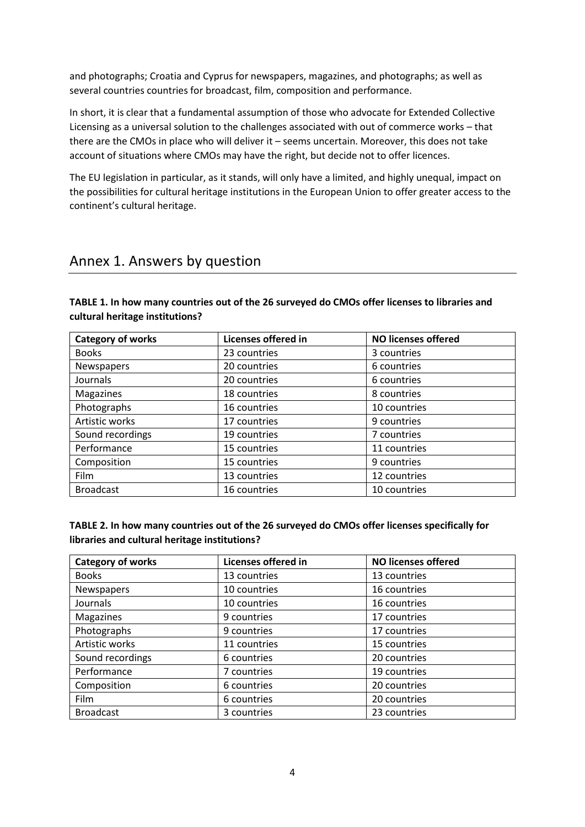and photographs; Croatia and Cyprus for newspapers, magazines, and photographs; as well as several countries countries for broadcast, film, composition and performance.

In short, it is clear that a fundamental assumption of those who advocate for Extended Collective Licensing as a universal solution to the challenges associated with out of commerce works – that there are the CMOs in place who will deliver it – seems uncertain. Moreover, this does not take account of situations where CMOs may have the right, but decide not to offer licences.

The EU legislation in particular, as it stands, will only have a limited, and highly unequal, impact on the possibilities for cultural heritage institutions in the European Union to offer greater access to the continent's cultural heritage.

### Annex 1. Answers by question

| TABLE 1. In how many countries out of the 26 surveyed do CMOs offer licenses to libraries and |
|-----------------------------------------------------------------------------------------------|
| cultural heritage institutions?                                                               |

| <b>Category of works</b> | Licenses offered in | <b>NO licenses offered</b> |
|--------------------------|---------------------|----------------------------|
| <b>Books</b>             | 23 countries        | 3 countries                |
| Newspapers               | 20 countries        | 6 countries                |
| Journals                 | 20 countries        | 6 countries                |
| Magazines                | 18 countries        | 8 countries                |
| Photographs              | 16 countries        | 10 countries               |
| Artistic works           | 17 countries        | 9 countries                |
| Sound recordings         | 19 countries        | 7 countries                |
| Performance              | 15 countries        | 11 countries               |
| Composition              | 15 countries        | 9 countries                |
| Film                     | 13 countries        | 12 countries               |
| <b>Broadcast</b>         | 16 countries        | 10 countries               |

| TABLE 2. In how many countries out of the 26 surveyed do CMOs offer licenses specifically for |
|-----------------------------------------------------------------------------------------------|
| libraries and cultural heritage institutions?                                                 |

| <b>Category of works</b> | <b>Licenses offered in</b> | <b>NO licenses offered</b> |
|--------------------------|----------------------------|----------------------------|
| <b>Books</b>             | 13 countries               | 13 countries               |
| Newspapers               | 10 countries               | 16 countries               |
| Journals                 | 10 countries               | 16 countries               |
| Magazines                | 9 countries                | 17 countries               |
| Photographs              | 9 countries                | 17 countries               |
| Artistic works           | 11 countries               | 15 countries               |
| Sound recordings         | 6 countries                | 20 countries               |
| Performance              | 7 countries                | 19 countries               |
| Composition              | 6 countries                | 20 countries               |
| Film                     | 6 countries                | 20 countries               |
| <b>Broadcast</b>         | 3 countries                | 23 countries               |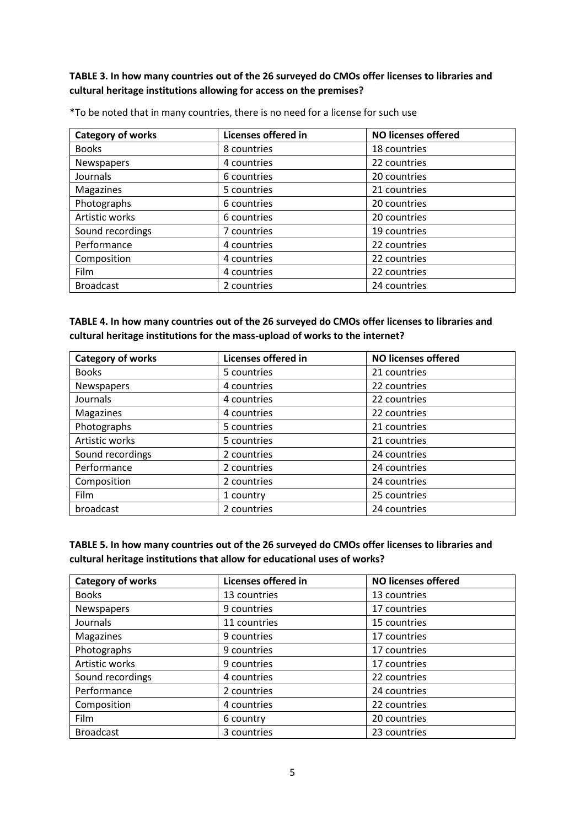#### **TABLE 3. In how many countries out of the 26 surveyed do CMOs offer licenses to libraries and cultural heritage institutions allowing for access on the premises?**

| <b>Category of works</b> | Licenses offered in | <b>NO licenses offered</b> |
|--------------------------|---------------------|----------------------------|
| <b>Books</b>             | 8 countries         | 18 countries               |
| Newspapers               | 4 countries         | 22 countries               |
| Journals                 | 6 countries         | 20 countries               |
| Magazines                | 5 countries         | 21 countries               |
| Photographs              | 6 countries         | 20 countries               |
| Artistic works           | 6 countries         | 20 countries               |
| Sound recordings         | 7 countries         | 19 countries               |
| Performance              | 4 countries         | 22 countries               |
| Composition              | 4 countries         | 22 countries               |
| Film                     | 4 countries         | 22 countries               |
| <b>Broadcast</b>         | 2 countries         | 24 countries               |

\*To be noted that in many countries, there is no need for a license for such use

| TABLE 4. In how many countries out of the 26 surveyed do CMOs offer licenses to libraries and |
|-----------------------------------------------------------------------------------------------|
| cultural heritage institutions for the mass-upload of works to the internet?                  |

| <b>Category of works</b> | Licenses offered in | <b>NO licenses offered</b> |
|--------------------------|---------------------|----------------------------|
| <b>Books</b>             | 5 countries         | 21 countries               |
| Newspapers               | 4 countries         | 22 countries               |
| <b>Journals</b>          | 4 countries         | 22 countries               |
| Magazines                | 4 countries         | 22 countries               |
| Photographs              | 5 countries         | 21 countries               |
| Artistic works           | 5 countries         | 21 countries               |
| Sound recordings         | 2 countries         | 24 countries               |
| Performance              | 2 countries         | 24 countries               |
| Composition              | 2 countries         | 24 countries               |
| <b>Film</b>              | 1 country           | 25 countries               |
| broadcast                | 2 countries         | 24 countries               |

**TABLE 5. In how many countries out of the 26 surveyed do CMOs offer licenses to libraries and cultural heritage institutions that allow for educational uses of works?**

| <b>Category of works</b> | Licenses offered in | <b>NO licenses offered</b> |
|--------------------------|---------------------|----------------------------|
| <b>Books</b>             | 13 countries        | 13 countries               |
| Newspapers               | 9 countries         | 17 countries               |
| <b>Journals</b>          | 11 countries        | 15 countries               |
| Magazines                | 9 countries         | 17 countries               |
| Photographs              | 9 countries         | 17 countries               |
| Artistic works           | 9 countries         | 17 countries               |
| Sound recordings         | 4 countries         | 22 countries               |
| Performance              | 2 countries         | 24 countries               |
| Composition              | 4 countries         | 22 countries               |
| Film                     | 6 country           | 20 countries               |
| <b>Broadcast</b>         | 3 countries         | 23 countries               |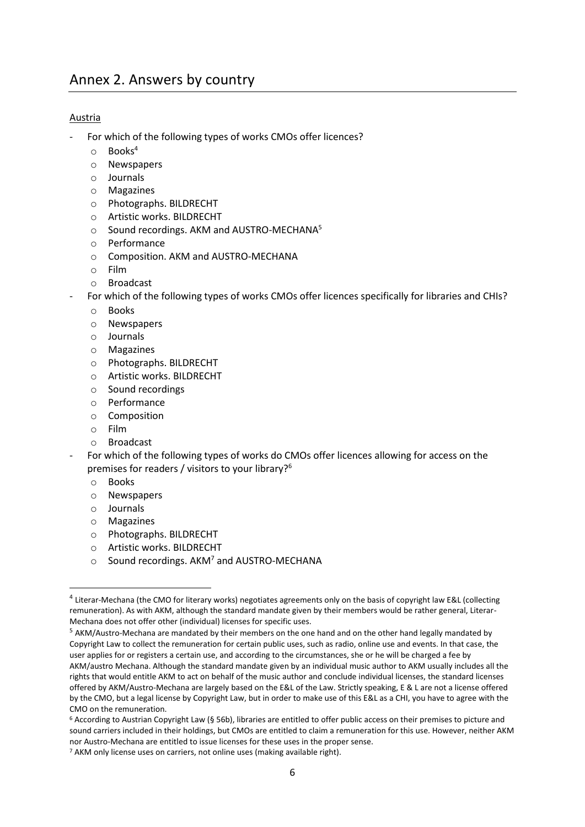#### Austria

- For which of the following types of works CMOs offer licences?
	- o Books<sup>4</sup>
	- o Newspapers
	- o Journals
	- o Magazines
	- o Photographs. BILDRECHT
	- o Artistic works. BILDRECHT
	- o Sound recordings. AKM and AUSTRO-MECHANA<sup>5</sup>
	- o Performance
	- o Composition. AKM and AUSTRO-MECHANA
	- o Film
	- o Broadcast
- For which of the following types of works CMOs offer licences specifically for libraries and CHIs?
	- o Books
	- o Newspapers
	- o Journals
	- o Magazines
	- o Photographs. BILDRECHT
	- o Artistic works. BILDRECHT
	- o Sound recordings
	- o Performance
	- o Composition
	- o Film
	- o Broadcast
- For which of the following types of works do CMOs offer licences allowing for access on the premises for readers / visitors to your library?<sup>6</sup>
	- o Books
	- o Newspapers
	- o Journals

**.** 

- o Magazines
- o Photographs. BILDRECHT
- o Artistic works. BILDRECHT
- $\circ$  Sound recordings. AKM<sup>7</sup> and AUSTRO-MECHANA

<sup>&</sup>lt;sup>4</sup> Literar-Mechana (the CMO for literary works) negotiates agreements only on the basis of copyright law E&L (collecting remuneration). As with AKM, although the standard mandate given by their members would be rather general, Literar-Mechana does not offer other (individual) licenses for specific uses.

<sup>&</sup>lt;sup>5</sup> AKM/Austro-Mechana are mandated by their members on the one hand and on the other hand legally mandated by Copyright Law to collect the remuneration for certain public uses, such as radio, online use and events. In that case, the user applies for or registers a certain use, and according to the circumstances, she or he will be charged a fee by AKM/austro Mechana. Although the standard mandate given by an individual music author to AKM usually includes all the rights that would entitle AKM to act on behalf of the music author and conclude individual licenses, the standard licenses offered by AKM/Austro-Mechana are largely based on the E&L of the Law. Strictly speaking, E & L are not a license offered by the CMO, but a legal license by Copyright Law, but in order to make use of this E&L as a CHI, you have to agree with the CMO on the remuneration.

<sup>6</sup> According to Austrian Copyright Law (§ 56b), libraries are entitled to offer public access on their premises to picture and sound carriers included in their holdings, but CMOs are entitled to claim a remuneration for this use. However, neither AKM nor Austro-Mechana are entitled to issue licenses for these uses in the proper sense.

<sup>&</sup>lt;sup>7</sup> AKM only license uses on carriers, not online uses (making available right).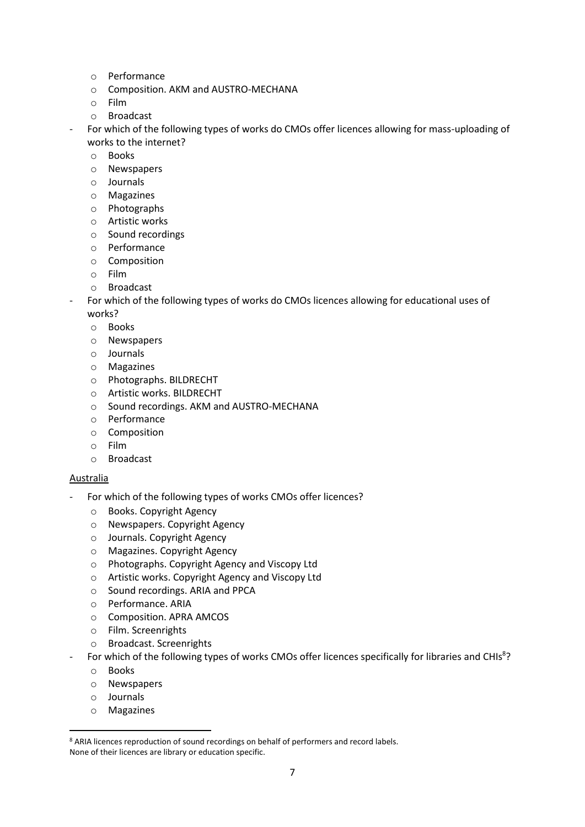- o Performance
- o Composition. AKM and AUSTRO-MECHANA
- o Film
- o Broadcast
- For which of the following types of works do CMOs offer licences allowing for mass-uploading of works to the internet?
	- o Books
	- o Newspapers
	- o Journals
	- o Magazines
	- o Photographs
	- o Artistic works
	- o Sound recordings
	- o Performance
	- o Composition
	- o Film
	- o Broadcast
- For which of the following types of works do CMOs licences allowing for educational uses of works?
	- o Books
	- o Newspapers
	- o Journals
	- o Magazines
	- o Photographs. BILDRECHT
	- o Artistic works. BILDRECHT
	- o Sound recordings. AKM and AUSTRO-MECHANA
	- o Performance
	- o Composition
	- o Film
	- o Broadcast

#### Australia

- For which of the following types of works CMOs offer licences?
	- o Books. Copyright Agency
	- o Newspapers. Copyright Agency
	- o Journals. Copyright Agency
	- o Magazines. Copyright Agency
	- o Photographs. Copyright Agency and Viscopy Ltd
	- o Artistic works. Copyright Agency and Viscopy Ltd
	- o Sound recordings. ARIA and PPCA
	- o Performance. ARIA
	- o Composition. APRA AMCOS
	- o Film. Screenrights
	- o Broadcast. Screenrights
- For which of the following types of works CMOs offer licences specifically for libraries and CHIs<sup>8</sup>?
	- o Books
	- o Newspapers
	- o Journals

**.** 

o Magazines

<sup>&</sup>lt;sup>8</sup> ARIA licences reproduction of sound recordings on behalf of performers and record labels. None of their licences are library or education specific.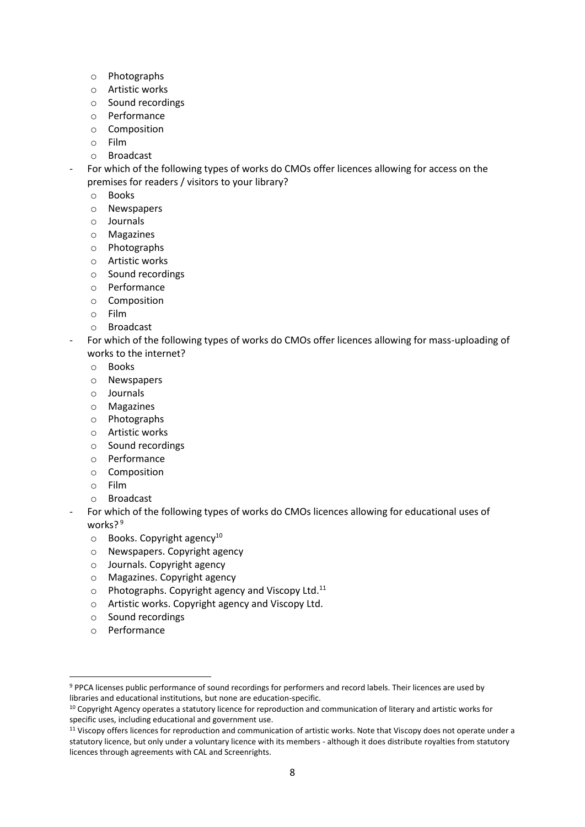- o Photographs
- o Artistic works
- o Sound recordings
- o Performance
- o Composition
- o Film
- o Broadcast

For which of the following types of works do CMOs offer licences allowing for access on the premises for readers / visitors to your library?

- o Books
- o Newspapers
- o Journals
- o Magazines
- o Photographs
- o Artistic works
- o Sound recordings
- o Performance
- o Composition
- o Film
- o Broadcast
- For which of the following types of works do CMOs offer licences allowing for mass-uploading of works to the internet?
	- o Books
	- o Newspapers
	- o Journals
	- o Magazines
	- o Photographs
	- o Artistic works
	- o Sound recordings
	- o Performance
	- o Composition
	- o Film
	- o Broadcast
- For which of the following types of works do CMOs licences allowing for educational uses of works?<sup>9</sup>
	- $\circ$  Books. Copyright agency<sup>10</sup>
	- o Newspapers. Copyright agency
	- o Journals. Copyright agency
	- o Magazines. Copyright agency
	- o Photographs. Copyright agency and Viscopy Ltd.<sup>11</sup>
	- o Artistic works. Copyright agency and Viscopy Ltd.
	- o Sound recordings
	- o Performance

**.** 

<sup>9</sup> PPCA licenses public performance of sound recordings for performers and record labels. Their licences are used by libraries and educational institutions, but none are education-specific.

<sup>&</sup>lt;sup>10</sup> Copyright Agency operates a statutory licence for reproduction and communication of literary and artistic works for specific uses, including educational and government use.

<sup>11</sup> Viscopy offers licences for reproduction and communication of artistic works. Note that Viscopy does not operate under a statutory licence, but only under a voluntary licence with its members - although it does distribute royalties from statutory licences through agreements with CAL and Screenrights.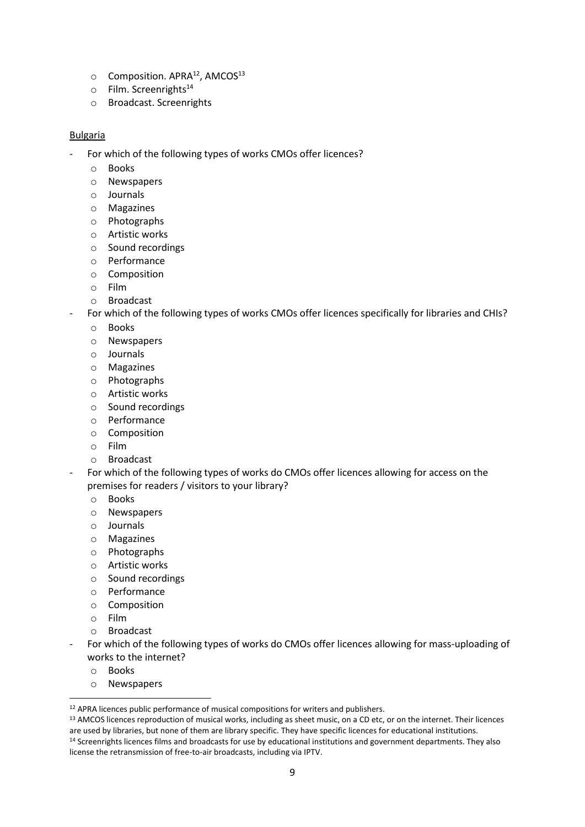- $\circ$  Composition. APRA<sup>12</sup>, AMCOS<sup>13</sup>
- $\circ$  Film. Screenrights<sup>14</sup>
- o Broadcast. Screenrights

#### Bulgaria

- For which of the following types of works CMOs offer licences?
	- o Books
	- o Newspapers
	- o Journals
	- o Magazines
	- o Photographs
	- o Artistic works
	- o Sound recordings
	- o Performance
	- o Composition
	- o Film
	- o Broadcast
- For which of the following types of works CMOs offer licences specifically for libraries and CHIs?
	- o Books
	- o Newspapers
	- o Journals
	- o Magazines
	- o Photographs
	- o Artistic works
	- o Sound recordings
	- o Performance
	- o Composition
	- o Film
	- o Broadcast
- For which of the following types of works do CMOs offer licences allowing for access on the premises for readers / visitors to your library?
	- o Books
	- o Newspapers
	- o Journals
	- o Magazines
	- o Photographs
	- o Artistic works
	- o Sound recordings
	- o Performance
	- o Composition
	- o Film
	- o Broadcast
- For which of the following types of works do CMOs offer licences allowing for mass-uploading of works to the internet?
	- o Books

1

o Newspapers

<sup>&</sup>lt;sup>12</sup> APRA licences public performance of musical compositions for writers and publishers.

<sup>&</sup>lt;sup>13</sup> AMCOS licences reproduction of musical works, including as sheet music, on a CD etc, or on the internet. Their licences are used by libraries, but none of them are library specific. They have specific licences for educational institutions. <sup>14</sup> Screenrights licences films and broadcasts for use by educational institutions and government departments. They also license the retransmission of free-to-air broadcasts, including via IPTV.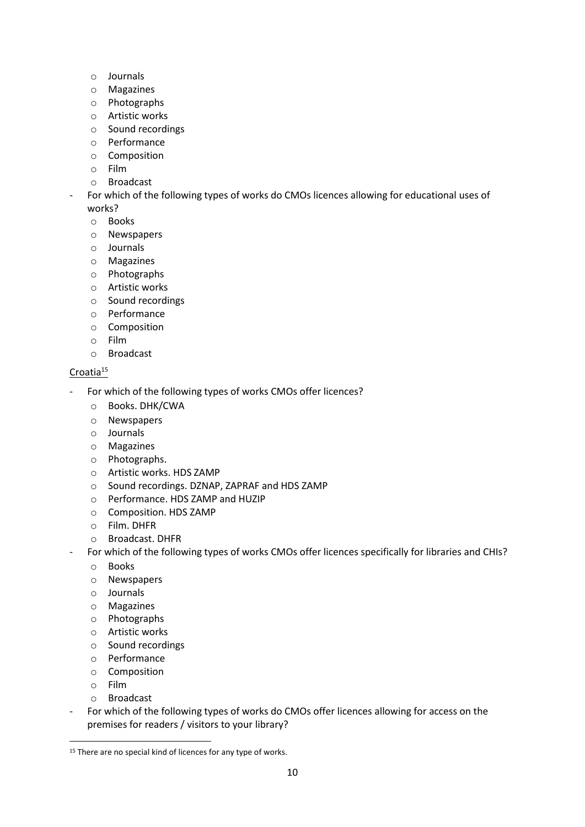- o Journals
- o Magazines
- o Photographs
- o Artistic works
- o Sound recordings
- o Performance
- o Composition
- o Film
- o Broadcast
- For which of the following types of works do CMOs licences allowing for educational uses of works?
	- o Books
	- o Newspapers
	- o Journals
	- o Magazines
	- o Photographs
	- o Artistic works
	- o Sound recordings
	- o Performance
	- o Composition
	- o Film
	- o Broadcast

#### Croatia<sup>15</sup>

- For which of the following types of works CMOs offer licences?
	- o Books. DHK/CWA
	- o Newspapers
	- o Journals
	- o Magazines
	- o Photographs.
	- o Artistic works. HDS ZAMP
	- o Sound recordings. DZNAP, ZAPRAF and HDS ZAMP
	- o Performance. HDS ZAMP and HUZIP
	- o Composition. HDS ZAMP
	- o Film. DHFR
	- o Broadcast. DHFR
- For which of the following types of works CMOs offer licences specifically for libraries and CHIs?
	- o Books
	- o Newspapers
	- o Journals
	- o Magazines
	- o Photographs
	- o Artistic works
	- o Sound recordings
	- o Performance
	- o Composition
	- o Film

 $\overline{a}$ 

- o Broadcast
- For which of the following types of works do CMOs offer licences allowing for access on the premises for readers / visitors to your library?

<sup>&</sup>lt;sup>15</sup> There are no special kind of licences for any type of works.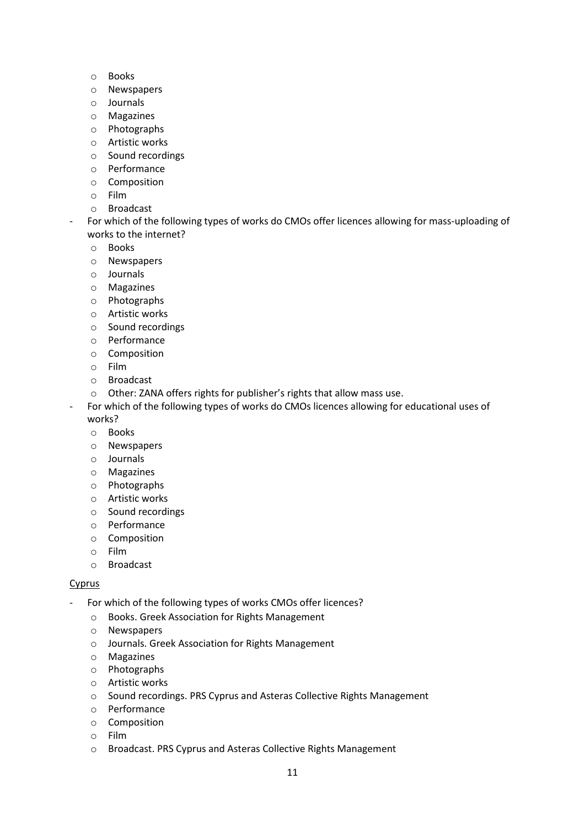- o Books
- o Newspapers
- o Journals
- o Magazines
- o Photographs
- o Artistic works
- o Sound recordings
- o Performance
- o Composition
- o Film
- o Broadcast
- For which of the following types of works do CMOs offer licences allowing for mass-uploading of works to the internet?
	- o Books
	- o Newspapers
	- o Journals
	- o Magazines
	- o Photographs
	- o Artistic works
	- o Sound recordings
	- o Performance
	- o Composition
	- o Film
	- o Broadcast
	- o Other: ZANA offers rights for publisher's rights that allow mass use.
- For which of the following types of works do CMOs licences allowing for educational uses of works?
	- o Books
	- o Newspapers
	- o Journals
	- o Magazines
	- o Photographs
	- o Artistic works
	- o Sound recordings
	- o Performance
	- o Composition
	- o Film
	- o Broadcast

#### **Cyprus**

- For which of the following types of works CMOs offer licences?
	- o Books. Greek Association for Rights Management
	- o Newspapers
	- o Journals. Greek Association for Rights Management
	- o Magazines
	- o Photographs
	- o Artistic works
	- o Sound recordings. PRS Cyprus and Asteras Collective Rights Management
	- o Performance
	- o Composition
	- o Film
	- o Broadcast. PRS Cyprus and Asteras Collective Rights Management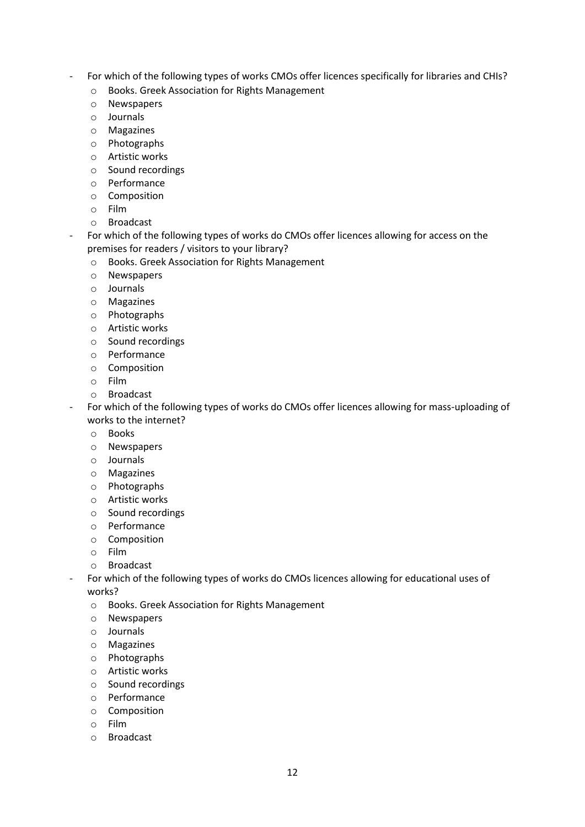- For which of the following types of works CMOs offer licences specifically for libraries and CHIs?
	- o Books. Greek Association for Rights Management
	- o Newspapers
	- o Journals
	- o Magazines
	- o Photographs
	- o Artistic works
	- o Sound recordings
	- o Performance
	- o Composition
	- o Film
	- o Broadcast

For which of the following types of works do CMOs offer licences allowing for access on the premises for readers / visitors to your library?

- o Books. Greek Association for Rights Management
- o Newspapers
- o Journals
- o Magazines
- o Photographs
- o Artistic works
- o Sound recordings
- o Performance
- o Composition
- o Film
- o Broadcast

- For which of the following types of works do CMOs offer licences allowing for mass-uploading of works to the internet?

- o Books
- o Newspapers
- o Journals
- o Magazines
- o Photographs
- o Artistic works
- o Sound recordings
- o Performance
- o Composition
- o Film
- o Broadcast
- For which of the following types of works do CMOs licences allowing for educational uses of works?
	- o Books. Greek Association for Rights Management
	- o Newspapers
	- o Journals
	- o Magazines
	- o Photographs
	- o Artistic works
	- o Sound recordings
	- o Performance
	- o Composition
	- o Film
	- o Broadcast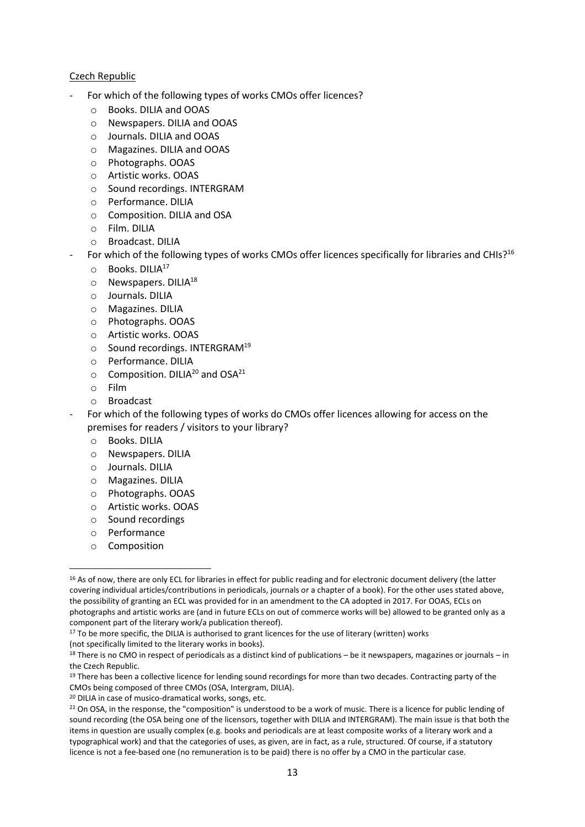#### Czech Republic

- For which of the following types of works CMOs offer licences?
	- o Books. DILIA and OOAS
	- o Newspapers. DILIA and OOAS
	- o Journals. DILIA and OOAS
	- o Magazines. DILIA and OOAS
	- o Photographs. OOAS
	- o Artistic works. OOAS
	- o Sound recordings. INTERGRAM
	- o Performance. DILIA
	- o Composition. DILIA and OSA
	- o Film. DILIA
	- o Broadcast. DILIA
	- For which of the following types of works CMOs offer licences specifically for libraries and CHIs?<sup>16</sup>
	- o Books. DILIA<sup>17</sup>
	- $\circ$  Newspapers. DILIA<sup>18</sup>
	- o Journals. DILIA
	- o Magazines. DILIA
	- o Photographs. OOAS
	- o Artistic works. OOAS
	- o Sound recordings. INTERGRAM<sup>19</sup>
	- o Performance. DILIA
	- $\circ$  Composition. DILIA<sup>20</sup> and OSA<sup>21</sup>
	- o Film
	- o Broadcast
- For which of the following types of works do CMOs offer licences allowing for access on the premises for readers / visitors to your library?
	- o Books. DILIA
	- o Newspapers. DILIA
	- o Journals. DILIA
	- o Magazines. DILIA
	- o Photographs. OOAS
	- o Artistic works. OOAS
	- o Sound recordings
	- o Performance
	- o Composition

1

<sup>17</sup> To be more specific, the DILIA is authorised to grant licences for the use of literary (written) works (not specifically limited to the literary works in books).

<sup>&</sup>lt;sup>16</sup> As of now, there are only ECL for libraries in effect for public reading and for electronic document delivery (the latter covering individual articles/contributions in periodicals, journals or a chapter of a book). For the other uses stated above, the possibility of granting an ECL was provided for in an amendment to the CA adopted in 2017. For OOAS, ECLs on photographs and artistic works are (and in future ECLs on out of commerce works will be) allowed to be granted only as a component part of the literary work/a publication thereof).

 $18$  There is no CMO in respect of periodicals as a distinct kind of publications – be it newspapers, magazines or journals – in the Czech Republic.

 $19$  There has been a collective licence for lending sound recordings for more than two decades. Contracting party of the CMOs being composed of three CMOs (OSA, Intergram, DILIA).

<sup>20</sup> DILIA in case of musico-dramatical works, songs, etc.

<sup>&</sup>lt;sup>21</sup> On OSA, in the response, the "composition" is understood to be a work of music. There is a licence for public lending of sound recording (the OSA being one of the licensors, together with DILIA and INTERGRAM). The main issue is that both the items in question are usually complex (e.g. books and periodicals are at least composite works of a literary work and a typographical work) and that the categories of uses, as given, are in fact, as a rule, structured. Of course, if a statutory licence is not a fee-based one (no remuneration is to be paid) there is no offer by a CMO in the particular case.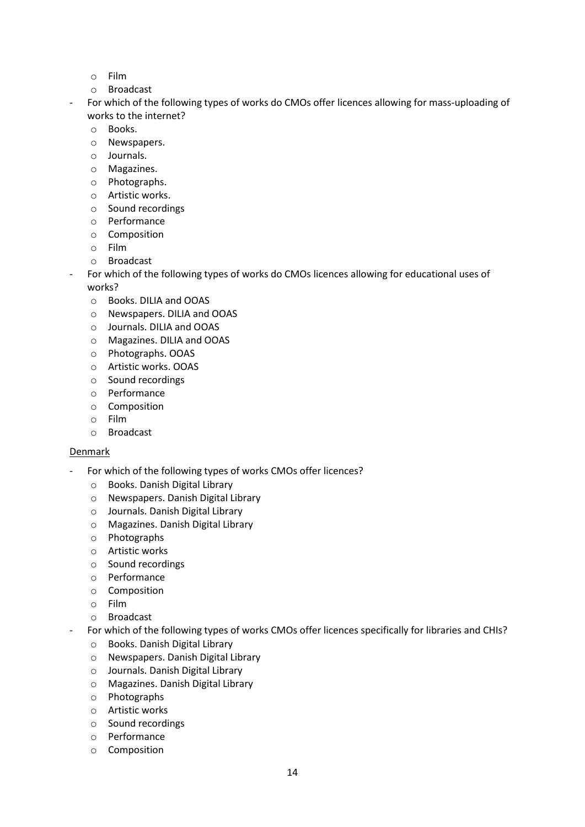- o Film
- o Broadcast
- For which of the following types of works do CMOs offer licences allowing for mass-uploading of works to the internet?
	- o Books.
	- o Newspapers.
	- o Journals.
	- o Magazines.
	- o Photographs.
	- o Artistic works.
	- o Sound recordings
	- o Performance
	- o Composition
	- o Film
	- o Broadcast
- For which of the following types of works do CMOs licences allowing for educational uses of works?
	- o Books. DILIA and OOAS
	- o Newspapers. DILIA and OOAS
	- o Journals. DILIA and OOAS
	- o Magazines. DILIA and OOAS
	- o Photographs. OOAS
	- o Artistic works. OOAS
	- o Sound recordings
	- o Performance
	- o Composition
	- o Film
	- o Broadcast

#### **Denmark**

- For which of the following types of works CMOs offer licences?
	- o Books. Danish Digital Library
	- o Newspapers. Danish Digital Library
	- o Journals. Danish Digital Library
	- o Magazines. Danish Digital Library
	- o Photographs
	- o Artistic works
	- o Sound recordings
	- o Performance
	- o Composition
	- o Film
	- o Broadcast
- For which of the following types of works CMOs offer licences specifically for libraries and CHIs?
	- o Books. Danish Digital Library
	- o Newspapers. Danish Digital Library
	- o Journals. Danish Digital Library
	- o Magazines. Danish Digital Library
	- o Photographs
	- o Artistic works
	- o Sound recordings
	- o Performance
	- o Composition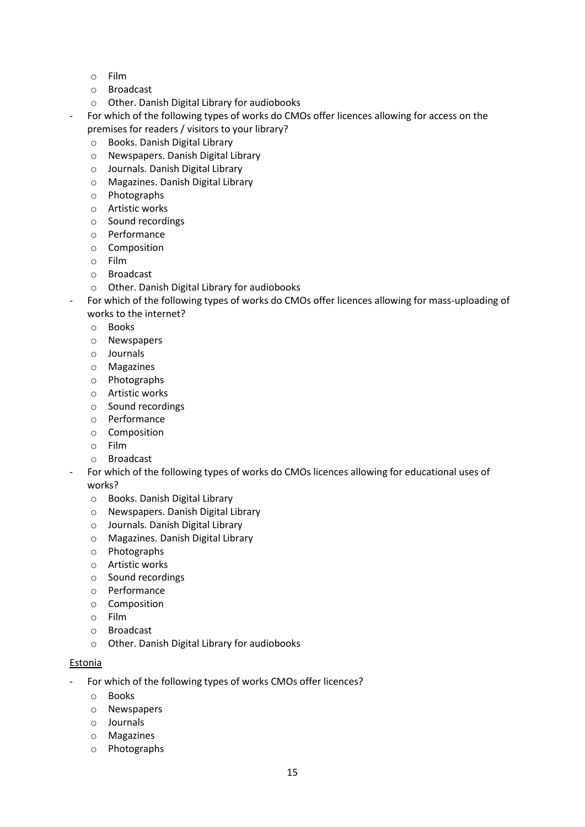- o Film
- o Broadcast
- o Other. Danish Digital Library for audiobooks
- For which of the following types of works do CMOs offer licences allowing for access on the premises for readers / visitors to your library?
	- o Books. Danish Digital Library
	- o Newspapers. Danish Digital Library
	- o Journals. Danish Digital Library
	- o Magazines. Danish Digital Library
	- o Photographs
	- o Artistic works
	- o Sound recordings
	- o Performance
	- o Composition
	- o Film
	- o Broadcast
	- o Other. Danish Digital Library for audiobooks
- For which of the following types of works do CMOs offer licences allowing for mass-uploading of works to the internet?
	- o Books
	- o Newspapers
	- o Journals
	- o Magazines
	- o Photographs
	- o Artistic works
	- o Sound recordings
	- o Performance
	- o Composition
	- o Film
	- o Broadcast
- For which of the following types of works do CMOs licences allowing for educational uses of works?
	- o Books. Danish Digital Library
	- o Newspapers. Danish Digital Library
	- o Journals. Danish Digital Library
	- o Magazines. Danish Digital Library
	- o Photographs
	- o Artistic works
	- o Sound recordings
	- o Performance
	- o Composition
	- o Film
	- o Broadcast
	- o Other. Danish Digital Library for audiobooks

#### Estonia

- For which of the following types of works CMOs offer licences?
	- o Books
	- o Newspapers
	- o Journals
	- o Magazines
	- o Photographs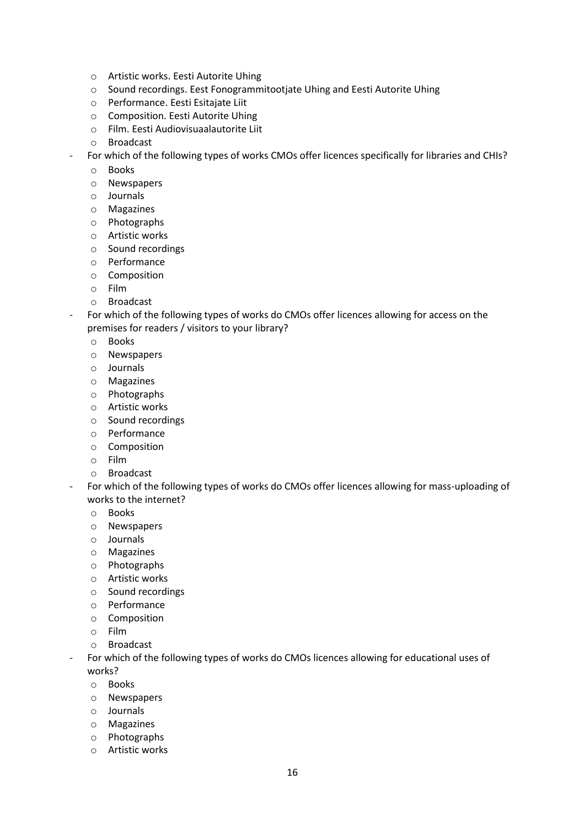- o Artistic works. Eesti Autorite Uhing
- o Sound recordings. Eest Fonogrammitootjate Uhing and Eesti Autorite Uhing
- o Performance. Eesti Esitajate Liit
- o Composition. Eesti Autorite Uhing
- o Film. Eesti Audiovisuaalautorite Liit
- o Broadcast
- For which of the following types of works CMOs offer licences specifically for libraries and CHIs?
	- o Books
	- o Newspapers
	- o Journals
	- o Magazines
	- o Photographs
	- o Artistic works
	- o Sound recordings
	- o Performance
	- o Composition
	- o Film
	- o Broadcast
- For which of the following types of works do CMOs offer licences allowing for access on the premises for readers / visitors to your library?
	- o Books
	- o Newspapers
	- o Journals
	- o Magazines
	- o Photographs
	- o Artistic works
	- o Sound recordings
	- o Performance
	- o Composition
	- o Film
	- o Broadcast
- For which of the following types of works do CMOs offer licences allowing for mass-uploading of works to the internet?
	- o Books
	- o Newspapers
	- o Journals
	- o Magazines
	- o Photographs
	- o Artistic works
	- o Sound recordings
	- o Performance
	- o Composition
	- o Film
	- o Broadcast
- For which of the following types of works do CMOs licences allowing for educational uses of works?
	- o Books
	- o Newspapers
	- o Journals
	- o Magazines
	- o Photographs
	- o Artistic works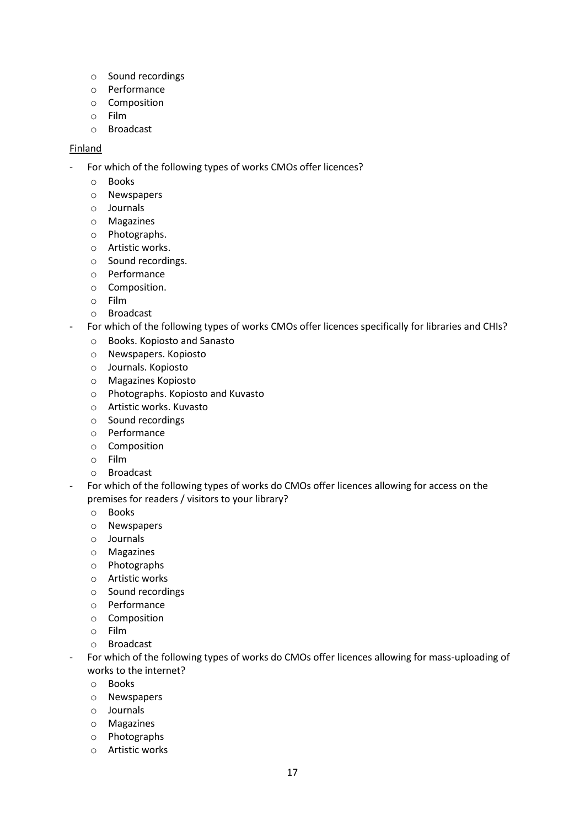- o Sound recordings
- o Performance
- o Composition
- o Film
- o Broadcast

#### Finland

- For which of the following types of works CMOs offer licences?
	- o Books
	- o Newspapers
	- o Journals
	- o Magazines
	- o Photographs.
	- o Artistic works.
	- o Sound recordings.
	- o Performance
	- o Composition.
	- o Film
	- o Broadcast
- For which of the following types of works CMOs offer licences specifically for libraries and CHIs?
	- o Books. Kopiosto and Sanasto
	- o Newspapers. Kopiosto
	- o Journals. Kopiosto
	- o Magazines Kopiosto
	- o Photographs. Kopiosto and Kuvasto
	- o Artistic works. Kuvasto
	- o Sound recordings
	- o Performance
	- o Composition
	- o Film
	- o Broadcast
- For which of the following types of works do CMOs offer licences allowing for access on the premises for readers / visitors to your library?
	- o Books
	- o Newspapers
	- o Journals
	- o Magazines
	- o Photographs
	- o Artistic works
	- o Sound recordings
	- o Performance
	- o Composition
	- o Film
	- o Broadcast
- For which of the following types of works do CMOs offer licences allowing for mass-uploading of works to the internet?
	- o Books
	- o Newspapers
	- o Journals
	- o Magazines
	- o Photographs
	- o Artistic works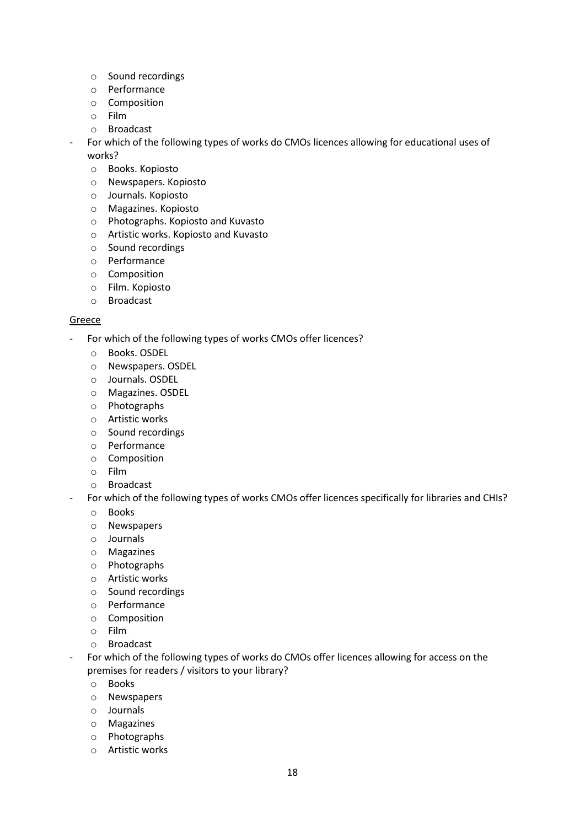- o Sound recordings
- o Performance
- o Composition
- o Film
- o Broadcast
- For which of the following types of works do CMOs licences allowing for educational uses of works?
	- o Books. Kopiosto
	- o Newspapers. Kopiosto
	- o Journals. Kopiosto
	- o Magazines. Kopiosto
	- o Photographs. Kopiosto and Kuvasto
	- o Artistic works. Kopiosto and Kuvasto
	- o Sound recordings
	- o Performance
	- o Composition
	- o Film. Kopiosto
	- o Broadcast

#### Greece

- For which of the following types of works CMOs offer licences?
	- o Books. OSDEL
	- o Newspapers. OSDEL
	- o Journals. OSDEL
	- o Magazines. OSDEL
	- o Photographs
	- o Artistic works
	- o Sound recordings
	- o Performance
	- o Composition
	- o Film
	- o Broadcast
- For which of the following types of works CMOs offer licences specifically for libraries and CHIs?
	- o Books
	- o Newspapers
	- o Journals
	- o Magazines
	- o Photographs
	- o Artistic works
	- o Sound recordings
	- o Performance
	- o Composition
	- o Film
	- o Broadcast
- For which of the following types of works do CMOs offer licences allowing for access on the premises for readers / visitors to your library?
	- o Books
	- o Newspapers
	- o Journals
	- o Magazines
	- o Photographs
	- o Artistic works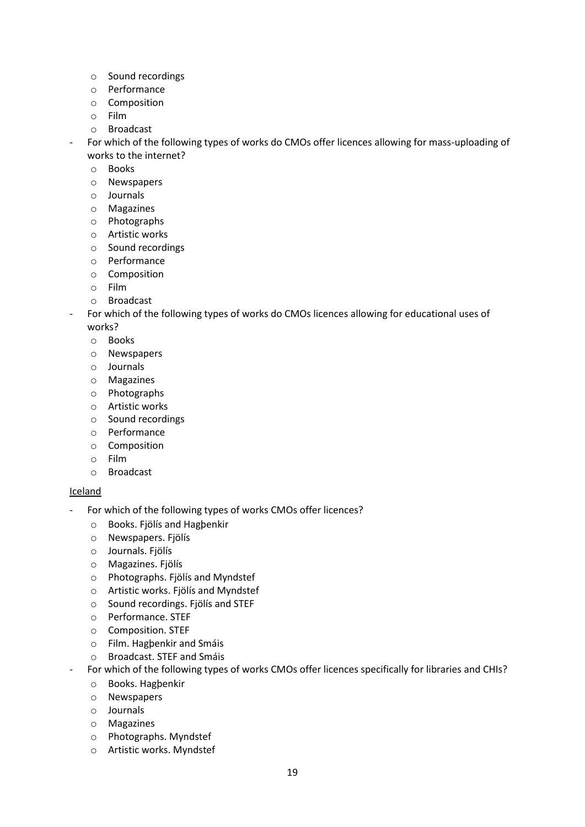- o Sound recordings
- o Performance
- o Composition
- o Film
- o Broadcast
- For which of the following types of works do CMOs offer licences allowing for mass-uploading of works to the internet?
	- o Books
	- o Newspapers
	- o Journals
	- o Magazines
	- o Photographs
	- o Artistic works
	- o Sound recordings
	- o Performance
	- o Composition
	- o Film
	- o Broadcast
- For which of the following types of works do CMOs licences allowing for educational uses of works?
	- o Books
	- o Newspapers
	- o Journals
	- o Magazines
	- o Photographs
	- o Artistic works
	- o Sound recordings
	- o Performance
	- o Composition
	- o Film
	- o Broadcast

#### **Iceland**

- For which of the following types of works CMOs offer licences?
	- o Books. Fjölís and Hagþenkir
	- o Newspapers. Fjölís
	- o Journals. Fjölís
	- o Magazines. Fjölís
	- o Photographs. Fjölís and Myndstef
	- o Artistic works. Fjölís and Myndstef
	- o Sound recordings. Fjölís and STEF
	- o Performance. STEF
	- o Composition. STEF
	- o Film. Hagþenkir and Smáis
	- o Broadcast. STEF and Smáis
	- For which of the following types of works CMOs offer licences specifically for libraries and CHIs?
		- o Books. Hagþenkir
		- o Newspapers
		- o Journals
		- o Magazines
		- o Photographs. Myndstef
		- o Artistic works. Myndstef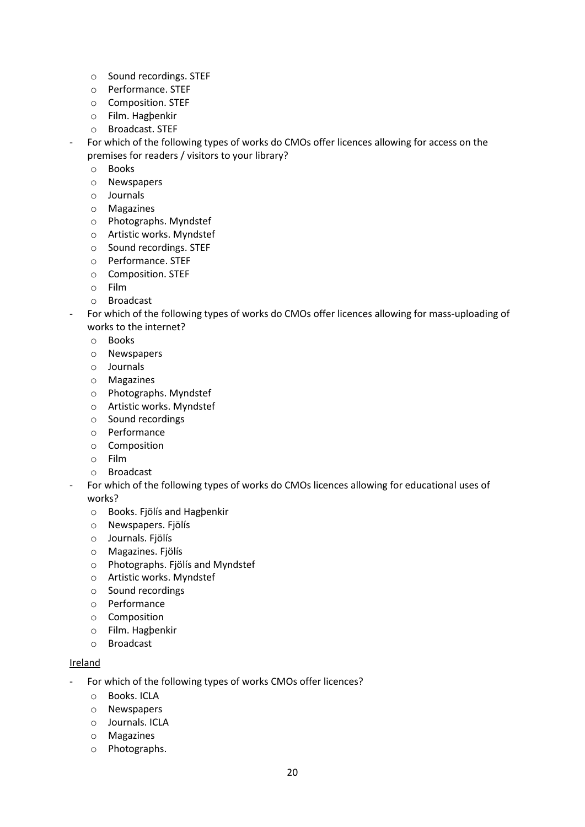- o Sound recordings. STEF
- o Performance. STEF
- o Composition. STEF
- o Film. Hagþenkir
- o Broadcast. STEF
- For which of the following types of works do CMOs offer licences allowing for access on the premises for readers / visitors to your library?
	- o Books
	- o Newspapers
	- o Journals
	- o Magazines
	- o Photographs. Myndstef
	- o Artistic works. Myndstef
	- o Sound recordings. STEF
	- o Performance. STEF
	- o Composition. STEF
	- o Film
	- o Broadcast
- For which of the following types of works do CMOs offer licences allowing for mass-uploading of works to the internet?
	- o Books
	- o Newspapers
	- o Journals
	- o Magazines
	- o Photographs. Myndstef
	- o Artistic works. Myndstef
	- o Sound recordings
	- o Performance
	- o Composition
	- o Film
	- o Broadcast
	- For which of the following types of works do CMOs licences allowing for educational uses of works?
		- o Books. Fjölís and Hagþenkir
		- o Newspapers. Fjölís
		- o Journals. Fjölís
		- o Magazines. Fjölís
		- o Photographs. Fjölís and Myndstef
		- o Artistic works. Myndstef
		- o Sound recordings
		- o Performance
		- o Composition
		- o Film. Hagþenkir
		- o Broadcast

#### Ireland

- For which of the following types of works CMOs offer licences?
	- o Books. ICLA
	- o Newspapers
	- o Journals. ICLA
	- o Magazines
	- o Photographs.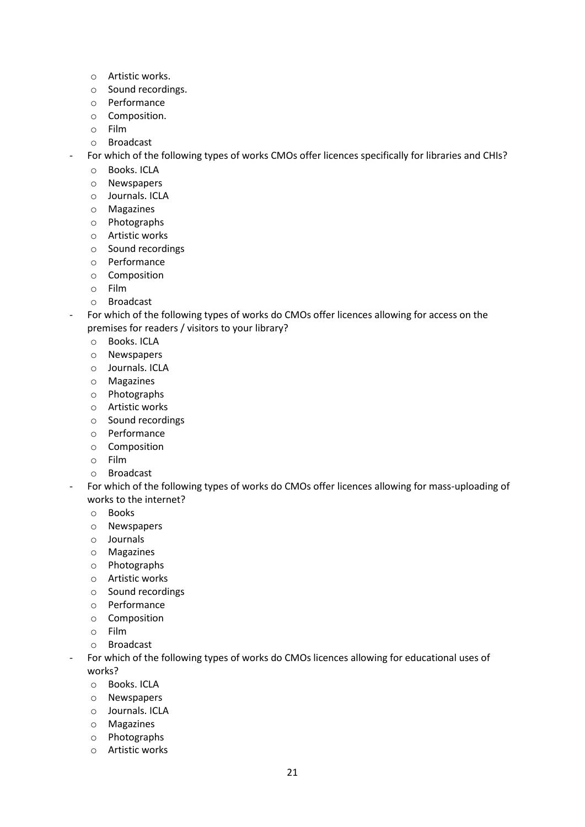- o Artistic works.
- o Sound recordings.
- o Performance
- o Composition.
- o Film
- o Broadcast
- For which of the following types of works CMOs offer licences specifically for libraries and CHIs?
	- o Books. ICLA
	- o Newspapers
	- o Journals. ICLA
	- o Magazines
	- o Photographs
	- o Artistic works
	- o Sound recordings
	- o Performance
	- o Composition
	- o Film
	- o Broadcast
- For which of the following types of works do CMOs offer licences allowing for access on the premises for readers / visitors to your library?
	- o Books. ICLA
	- o Newspapers
	- o Journals. ICLA
	- o Magazines
	- o Photographs
	- o Artistic works
	- o Sound recordings
	- o Performance
	- o Composition
	- o Film
	- o Broadcast
- For which of the following types of works do CMOs offer licences allowing for mass-uploading of works to the internet?
	- o Books
	- o Newspapers
	- o Journals
	- o Magazines
	- o Photographs
	- o Artistic works
	- o Sound recordings
	- o Performance
	- o Composition
	- o Film
	- o Broadcast
	- For which of the following types of works do CMOs licences allowing for educational uses of works?
		- o Books. ICLA
		- o Newspapers
		- o Journals. ICLA
		- o Magazines
		- o Photographs
		- o Artistic works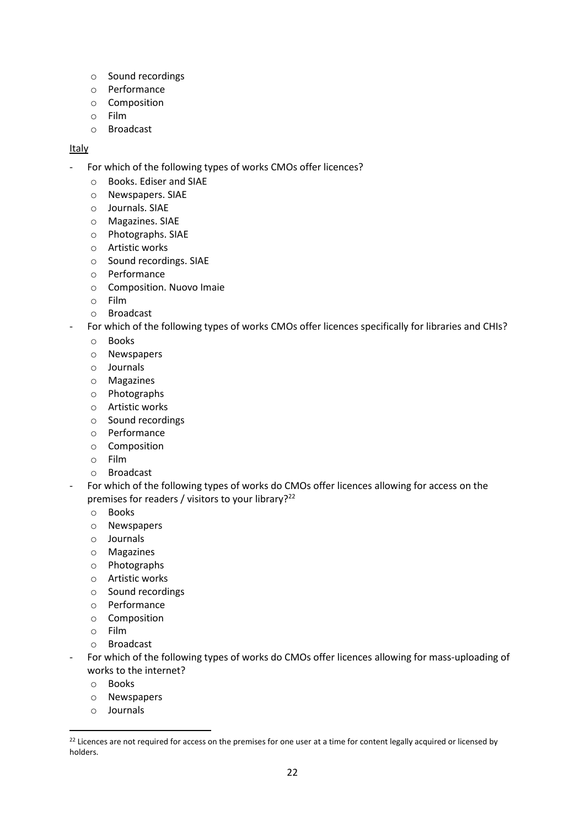- o Sound recordings
- o Performance
- o Composition
- o Film
- o Broadcast

#### Italy

- For which of the following types of works CMOs offer licences?
	- o Books. Ediser and SIAE
	- o Newspapers. SIAE
	- o Journals. SIAE
	- o Magazines. SIAE
	- o Photographs. SIAE
	- o Artistic works
	- o Sound recordings. SIAE
	- o Performance
	- o Composition. Nuovo Imaie
	- o Film
	- o Broadcast
- For which of the following types of works CMOs offer licences specifically for libraries and CHIs?
	- o Books
	- o Newspapers
	- o Journals
	- o Magazines
	- o Photographs
	- o Artistic works
	- o Sound recordings
	- o Performance
	- o Composition
	- o Film
	- o Broadcast
- For which of the following types of works do CMOs offer licences allowing for access on the premises for readers / visitors to your library?<sup>22</sup>
	- o Books
	- o Newspapers
	- o Journals
	- o Magazines
	- o Photographs
	- o Artistic works
	- o Sound recordings
	- o Performance
	- o Composition
	- o Film
	- o Broadcast
- For which of the following types of works do CMOs offer licences allowing for mass-uploading of works to the internet?
	- o Books

**.** 

- o Newspapers
- o Journals

<sup>&</sup>lt;sup>22</sup> Licences are not required for access on the premises for one user at a time for content legally acquired or licensed by holders.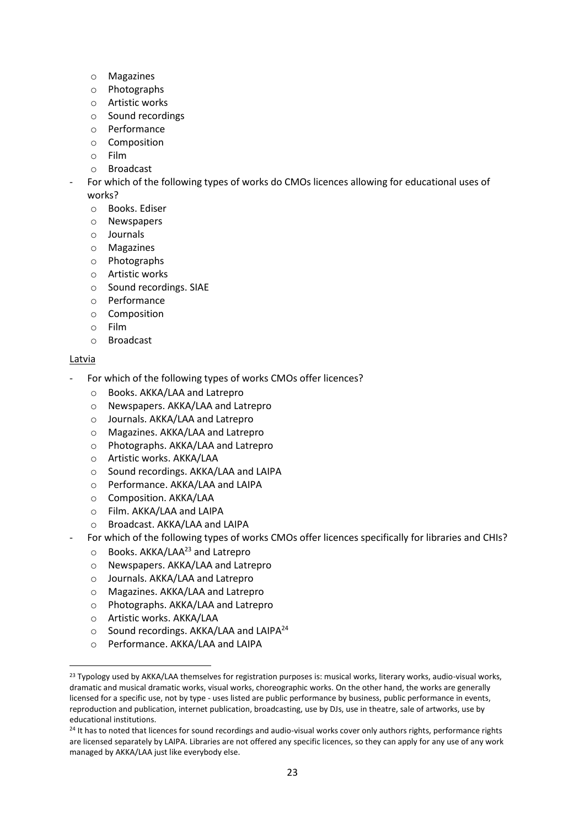- o Magazines
- o Photographs
- o Artistic works
- o Sound recordings
- o Performance
- o Composition
- o Film
- o Broadcast
- For which of the following types of works do CMOs licences allowing for educational uses of works?
	- o Books. Ediser
	- o Newspapers
	- o Journals
	- o Magazines
	- o Photographs
	- o Artistic works
	- o Sound recordings. SIAE
	- o Performance
	- o Composition
	- o Film
	- o Broadcast

#### **Latvia**

1

- For which of the following types of works CMOs offer licences?
	- o Books. AKKA/LAA and Latrepro
	- o Newspapers. AKKA/LAA and Latrepro
	- o Journals. AKKA/LAA and Latrepro
	- o Magazines. AKKA/LAA and Latrepro
	- o Photographs. AKKA/LAA and Latrepro
	- o Artistic works. AKKA/LAA
	- o Sound recordings. AKKA/LAA and LAIPA
	- o Performance. AKKA/LAA and LAIPA
	- o Composition. AKKA/LAA
	- o Film. AKKA/LAA and LAIPA
	- o Broadcast. AKKA/LAA and LAIPA
- For which of the following types of works CMOs offer licences specifically for libraries and CHIs?
	- o Books. AKKA/LAA<sup>23</sup> and Latrepro
	- o Newspapers. AKKA/LAA and Latrepro
	- o Journals. AKKA/LAA and Latrepro
	- o Magazines. AKKA/LAA and Latrepro
	- o Photographs. AKKA/LAA and Latrepro
	- o Artistic works. AKKA/LAA
	- o Sound recordings. AKKA/LAA and LAIPA<sup>24</sup>
	- o Performance. AKKA/LAA and LAIPA

<sup>&</sup>lt;sup>23</sup> Typology used by AKKA/LAA themselves for registration purposes is: musical works, literary works, audio-visual works, dramatic and musical dramatic works, visual works, choreographic works. On the other hand, the works are generally licensed for a specific use, not by type - uses listed are public performance by business, public performance in events, reproduction and publication, internet publication, broadcasting, use by DJs, use in theatre, sale of artworks, use by educational institutions.

<sup>&</sup>lt;sup>24</sup> It has to noted that licences for sound recordings and audio-visual works cover only authors rights, performance rights are licensed separately by LAIPA. Libraries are not offered any specific licences, so they can apply for any use of any work managed by AKKA/LAA just like everybody else.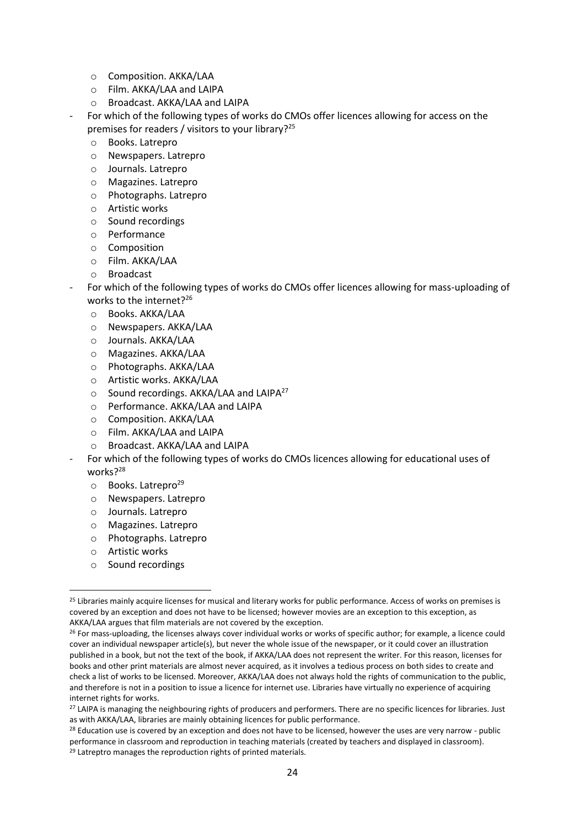- o Composition. AKKA/LAA
- o Film. AKKA/LAA and LAIPA
- o Broadcast. AKKA/LAA and LAIPA
- For which of the following types of works do CMOs offer licences allowing for access on the premises for readers / visitors to your library?<sup>25</sup>
	- o Books. Latrepro
	- o Newspapers. Latrepro
	- o Journals. Latrepro
	- o Magazines. Latrepro
	- o Photographs. Latrepro
	- o Artistic works
	- o Sound recordings
	- o Performance
	- o Composition
	- o Film. AKKA/LAA
	- o Broadcast
- For which of the following types of works do CMOs offer licences allowing for mass-uploading of works to the internet? $26$ 
	- o Books. AKKA/LAA
	- o Newspapers. AKKA/LAA
	- o Journals. AKKA/LAA
	- o Magazines. AKKA/LAA
	- o Photographs. AKKA/LAA
	- o Artistic works. AKKA/LAA
	- $\circ$  Sound recordings. AKKA/LAA and LAIPA<sup>27</sup>
	- o Performance. AKKA/LAA and LAIPA
	- o Composition. AKKA/LAA
	- o Film. AKKA/LAA and LAIPA
	- o Broadcast. AKKA/LAA and LAIPA
- For which of the following types of works do CMOs licences allowing for educational uses of works?<sup>28</sup>
	- $\circ$  Books. Latrepro<sup>29</sup>
	- o Newspapers. Latrepro
	- o Journals. Latrepro
	- o Magazines. Latrepro
	- o Photographs. Latrepro
	- o Artistic works

**.** 

o Sound recordings

<sup>&</sup>lt;sup>25</sup> Libraries mainly acquire licenses for musical and literary works for public performance. Access of works on premises is covered by an exception and does not have to be licensed; however movies are an exception to this exception, as AKKA/LAA argues that film materials are not covered by the exception.

<sup>&</sup>lt;sup>26</sup> For mass-uploading, the licenses always cover individual works or works of specific author; for example, a licence could cover an individual newspaper article(s), but never the whole issue of the newspaper, or it could cover an illustration published in a book, but not the text of the book, if AKKA/LAA does not represent the writer. For this reason, licenses for books and other print materials are almost never acquired, as it involves a tedious process on both sides to create and check a list of works to be licensed. Moreover, AKKA/LAA does not always hold the rights of communication to the public, and therefore is not in a position to issue a licence for internet use. Libraries have virtually no experience of acquiring internet rights for works.

<sup>&</sup>lt;sup>27</sup> LAIPA is managing the neighbouring rights of producers and performers. There are no specific licences for libraries. Just as with AKKA/LAA, libraries are mainly obtaining licences for public performance.

 $28$  Education use is covered by an exception and does not have to be licensed, however the uses are very narrow - public performance in classroom and reproduction in teaching materials (created by teachers and displayed in classroom). <sup>29</sup> Latreptro manages the reproduction rights of printed materials.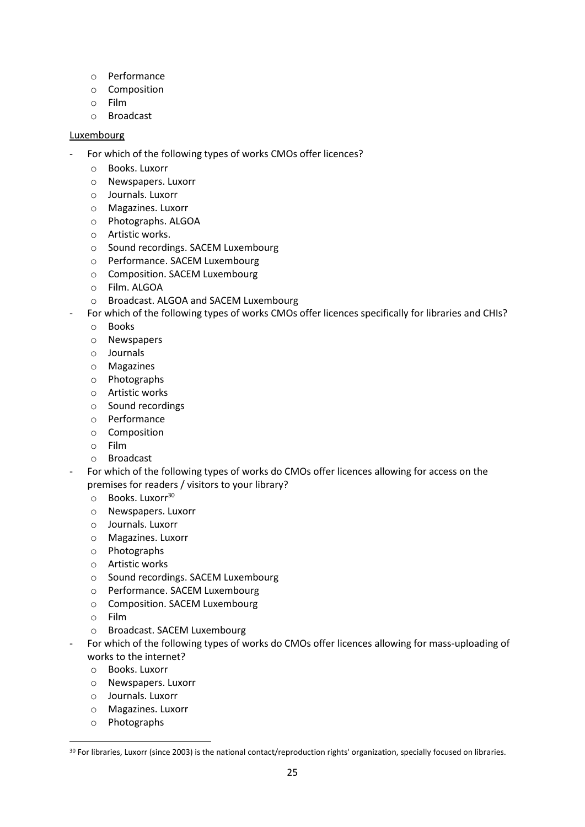- o Performance
- o Composition
- o Film
- o Broadcast

#### **Luxembourg**

- For which of the following types of works CMOs offer licences?
	- o Books. Luxorr
	- o Newspapers. Luxorr
	- o Journals. Luxorr
	- o Magazines. Luxorr
	- o Photographs. ALGOA
	- o Artistic works.
	- o Sound recordings. SACEM Luxembourg
	- o Performance. SACEM Luxembourg
	- o Composition. SACEM Luxembourg
	- o Film. ALGOA
	- o Broadcast. ALGOA and SACEM Luxembourg
- For which of the following types of works CMOs offer licences specifically for libraries and CHIs?
	- o Books
	- o Newspapers
	- o Journals
	- o Magazines
	- o Photographs
	- o Artistic works
	- o Sound recordings
	- o Performance
	- o Composition
	- o Film
	- o Broadcast
- For which of the following types of works do CMOs offer licences allowing for access on the premises for readers / visitors to your library?
	- o Books. Luxorr<sup>30</sup>
	- o Newspapers. Luxorr
	- o Journals. Luxorr
	- o Magazines. Luxorr
	- o Photographs
	- o Artistic works
	- o Sound recordings. SACEM Luxembourg
	- o Performance. SACEM Luxembourg
	- o Composition. SACEM Luxembourg
	- o Film
	- o Broadcast. SACEM Luxembourg
- For which of the following types of works do CMOs offer licences allowing for mass-uploading of works to the internet?
	- o Books. Luxorr
	- o Newspapers. Luxorr
	- o Journals. Luxorr
	- o Magazines. Luxorr
	- o Photographs

 $\overline{a}$ 

<sup>&</sup>lt;sup>30</sup> For libraries, Luxorr (since 2003) is the national contact/reproduction rights' organization, specially focused on libraries.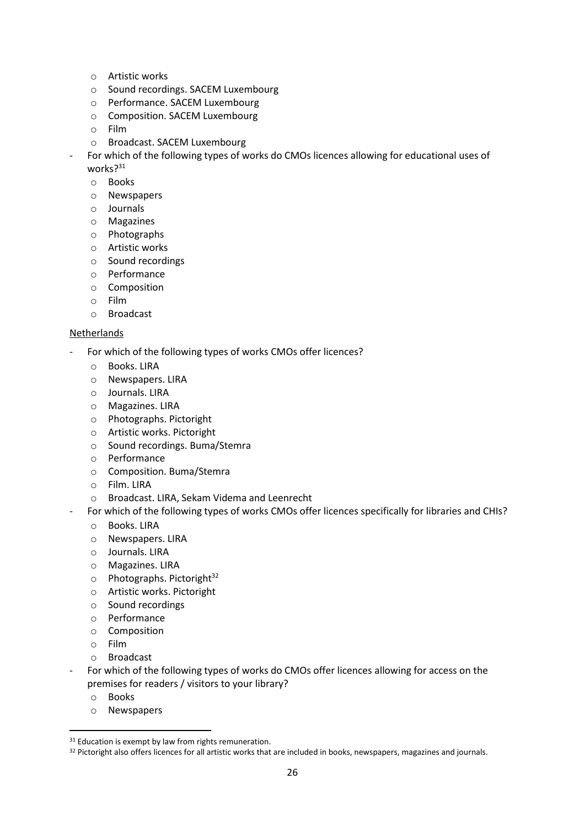- o Artistic works
- o Sound recordings. SACEM Luxembourg
- o Performance. SACEM Luxembourg
- o Composition. SACEM Luxembourg
- o Film
- o Broadcast. SACEM Luxembourg
- For which of the following types of works do CMOs licences allowing for educational uses of works?<sup>31</sup>
	- o Books
	- o Newspapers
	- o Journals
	- o Magazines
	- o Photographs
	- o Artistic works
	- o Sound recordings
	- o Performance
	- o Composition
	- o Film
	- o Broadcast

#### Netherlands

- For which of the following types of works CMOs offer licences?
	- o Books. LIRA
	- o Newspapers. LIRA
	- o Journals. LIRA
	- o Magazines. LIRA
	- o Photographs. Pictoright
	- o Artistic works. Pictoright
	- o Sound recordings. Buma/Stemra
	- o Performance
	- o Composition. Buma/Stemra
	- o Film. LIRA
	- o Broadcast. LIRA, Sekam Videma and Leenrecht
	- For which of the following types of works CMOs offer licences specifically for libraries and CHIs?
		- o Books. LIRA
		- o Newspapers. LIRA
		- o Journals. LIRA
		- o Magazines. LIRA
		- $\circ$  Photographs. Pictoright<sup>32</sup>
		- o Artistic works. Pictoright
		- o Sound recordings
		- o Performance
		- o Composition
		- o Film
		- o Broadcast
- For which of the following types of works do CMOs offer licences allowing for access on the premises for readers / visitors to your library?
	- o Books

**.** 

o Newspapers

 $31$  Education is exempt by law from rights remuneration.

<sup>&</sup>lt;sup>32</sup> Pictoright also offers licences for all artistic works that are included in books, newspapers, magazines and journals.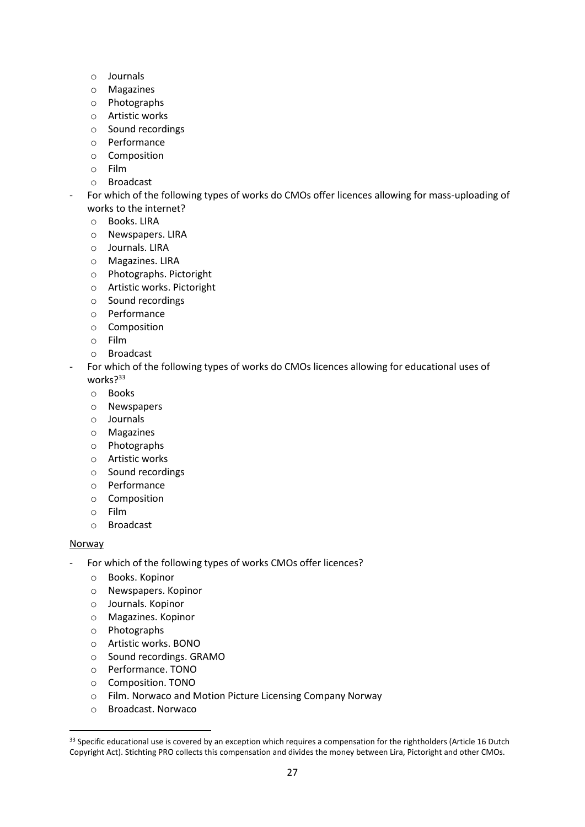- o Journals
- o Magazines
- o Photographs
- o Artistic works
- o Sound recordings
- o Performance
- o Composition
- o Film
- o Broadcast
- For which of the following types of works do CMOs offer licences allowing for mass-uploading of works to the internet?
	- o Books. LIRA
	- o Newspapers. LIRA
	- o Journals. LIRA
	- o Magazines. LIRA
	- o Photographs. Pictoright
	- o Artistic works. Pictoright
	- o Sound recordings
	- o Performance
	- o Composition
	- o Film
	- o Broadcast
- For which of the following types of works do CMOs licences allowing for educational uses of works?<sup>33</sup>
	- o Books
	- o Newspapers
	- o Journals
	- o Magazines
	- o Photographs
	- o Artistic works
	- o Sound recordings
	- o Performance
	- o Composition
	- o Film
	- o Broadcast

#### Norway

**.** 

- For which of the following types of works CMOs offer licences?
	- o Books. Kopinor
	- o Newspapers. Kopinor
	- o Journals. Kopinor
	- o Magazines. Kopinor
	- o Photographs
	- o Artistic works. BONO
	- o Sound recordings. GRAMO
	- o Performance. TONO
	- o Composition. TONO
	- o Film. Norwaco and Motion Picture Licensing Company Norway
	- o Broadcast. Norwaco

<sup>&</sup>lt;sup>33</sup> Specific educational use is covered by an exception which requires a compensation for the rightholders (Article 16 Dutch Copyright Act). Stichting PRO collects this compensation and divides the money between Lira, Pictoright and other CMOs.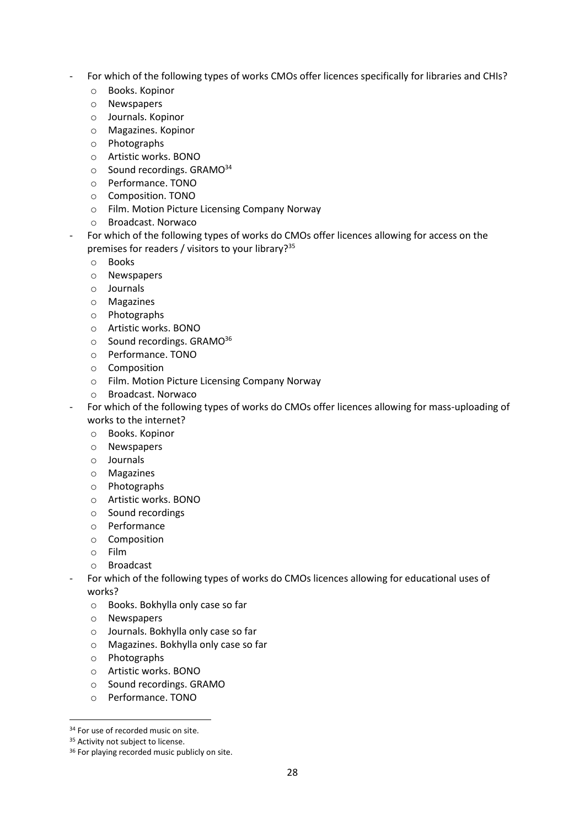- For which of the following types of works CMOs offer licences specifically for libraries and CHIs?
	- o Books. Kopinor
	- o Newspapers
	- o Journals. Kopinor
	- o Magazines. Kopinor
	- o Photographs
	- o Artistic works. BONO
	- $\circ$  Sound recordings. GRAMO<sup>34</sup>
	- o Performance. TONO
	- o Composition. TONO
	- o Film. Motion Picture Licensing Company Norway
	- o Broadcast. Norwaco
- For which of the following types of works do CMOs offer licences allowing for access on the premises for readers / visitors to your library?<sup>35</sup>
	- o Books
	- o Newspapers
	- o Journals
	- o Magazines
	- o Photographs
	- o Artistic works. BONO
	- $\circ$  Sound recordings. GRAMO<sup>36</sup>
	- o Performance. TONO
	- o Composition
	- o Film. Motion Picture Licensing Company Norway
	- o Broadcast. Norwaco
	- For which of the following types of works do CMOs offer licences allowing for mass-uploading of works to the internet?
		- o Books. Kopinor
		- o Newspapers
		- o Journals
		- o Magazines
		- o Photographs
		- o Artistic works. BONO
		- o Sound recordings
		- o Performance
		- o Composition
		- o Film
		- o Broadcast
	- For which of the following types of works do CMOs licences allowing for educational uses of works?
		- o Books. Bokhylla only case so far
		- o Newspapers
		- o Journals. Bokhylla only case so far
		- o Magazines. Bokhylla only case so far
		- o Photographs
		- o Artistic works. BONO
		- o Sound recordings. GRAMO
		- o Performance. TONO

**<sup>.</sup>** <sup>34</sup> For use of recorded music on site.

<sup>&</sup>lt;sup>35</sup> Activity not subject to license.

<sup>&</sup>lt;sup>36</sup> For playing recorded music publicly on site.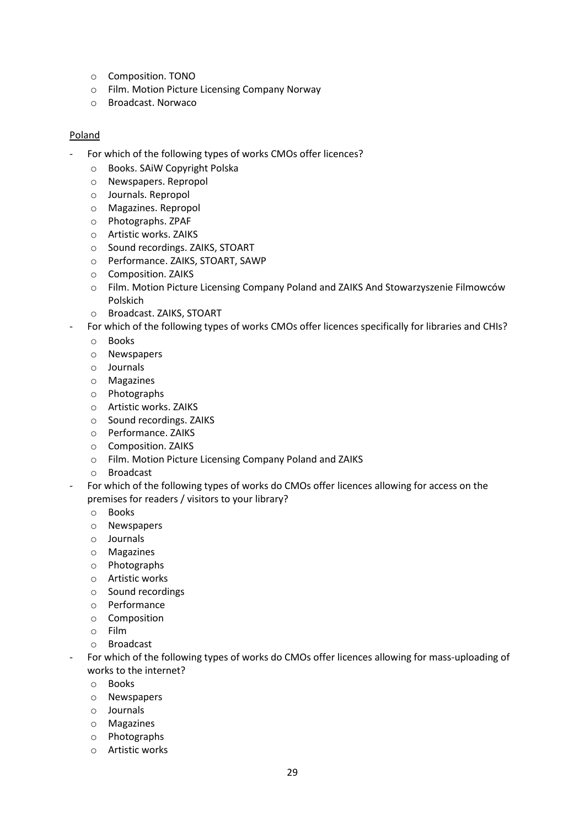- o Composition. TONO
- o Film. Motion Picture Licensing Company Norway
- o Broadcast. Norwaco

#### Poland

- For which of the following types of works CMOs offer licences?
	- o Books. SAiW Copyright Polska
	- o Newspapers. Repropol
	- o Journals. Repropol
	- o Magazines. Repropol
	- o Photographs. ZPAF
	- o Artistic works. ZAIKS
	- o Sound recordings. ZAIKS, STOART
	- o Performance. ZAIKS, STOART, SAWP
	- o Composition. ZAIKS
	- o Film. Motion Picture Licensing Company Poland and ZAIKS And Stowarzyszenie Filmowców Polskich
	- o Broadcast. ZAIKS, STOART
- For which of the following types of works CMOs offer licences specifically for libraries and CHIs?
	- o Books
	- o Newspapers
	- o Journals
	- o Magazines
	- o Photographs
	- o Artistic works. ZAIKS
	- o Sound recordings. ZAIKS
	- o Performance. ZAIKS
	- o Composition. ZAIKS
	- o Film. Motion Picture Licensing Company Poland and ZAIKS
	- o Broadcast
- For which of the following types of works do CMOs offer licences allowing for access on the premises for readers / visitors to your library?
	- o Books
	- o Newspapers
	- o Journals
	- o Magazines
	- o Photographs
	- o Artistic works
	- o Sound recordings
	- o Performance
	- o Composition
	- o Film
	- o Broadcast
- For which of the following types of works do CMOs offer licences allowing for mass-uploading of works to the internet?
	- o Books
	- o Newspapers
	- o Journals
	- o Magazines
	- o Photographs
	- o Artistic works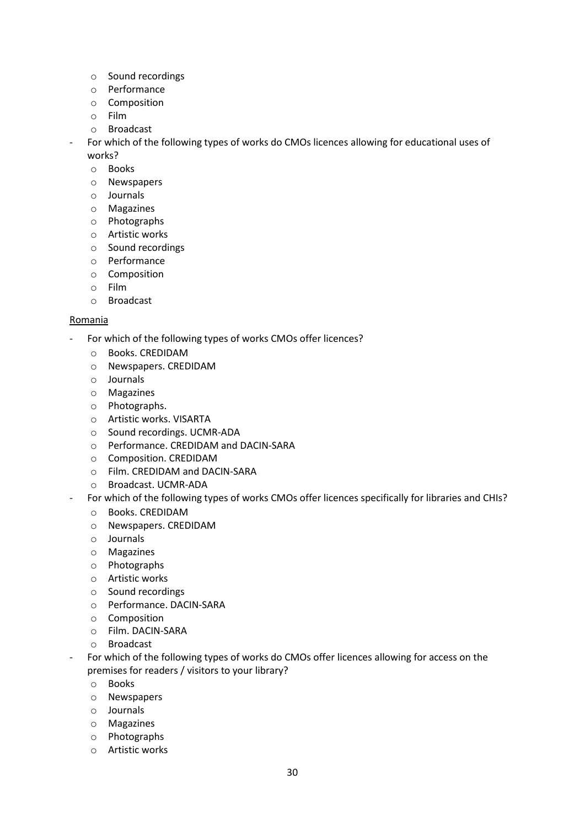- o Sound recordings
- o Performance
- o Composition
- o Film
- o Broadcast
- For which of the following types of works do CMOs licences allowing for educational uses of works?
	- o Books
	- o Newspapers
	- o Journals
	- o Magazines
	- o Photographs
	- o Artistic works
	- o Sound recordings
	- o Performance
	- o Composition
	- o Film
	- o Broadcast

#### Romania

- For which of the following types of works CMOs offer licences?
	- o Books. CREDIDAM
	- o Newspapers. CREDIDAM
	- o Journals
	- o Magazines
	- o Photographs.
	- o Artistic works. VISARTA
	- o Sound recordings. UCMR-ADA
	- o Performance. CREDIDAM and DACIN-SARA
	- o Composition. CREDIDAM
	- o Film. CREDIDAM and DACIN-SARA
	- o Broadcast. UCMR-ADA
- For which of the following types of works CMOs offer licences specifically for libraries and CHIs?
	- o Books. CREDIDAM
	- o Newspapers. CREDIDAM
	- o Journals
	- o Magazines
	- o Photographs
	- o Artistic works
	- o Sound recordings
	- o Performance. DACIN-SARA
	- o Composition
	- o Film. DACIN-SARA
	- o Broadcast
- For which of the following types of works do CMOs offer licences allowing for access on the premises for readers / visitors to your library?
	- o Books
	- o Newspapers
	- o Journals
	- o Magazines
	- o Photographs
	- o Artistic works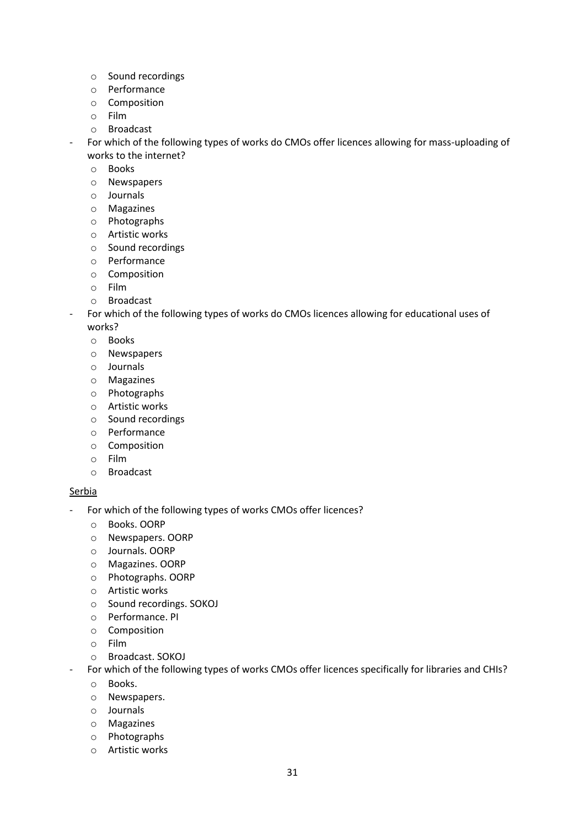- o Sound recordings
- o Performance
- o Composition
- o Film
- o Broadcast
- For which of the following types of works do CMOs offer licences allowing for mass-uploading of works to the internet?
	- o Books
	- o Newspapers
	- o Journals
	- o Magazines
	- o Photographs
	- o Artistic works
	- o Sound recordings
	- o Performance
	- o Composition
	- o Film
	- o Broadcast
- For which of the following types of works do CMOs licences allowing for educational uses of works?
	- o Books
	- o Newspapers
	- o Journals
	- o Magazines
	- o Photographs
	- o Artistic works
	- o Sound recordings
	- o Performance
	- o Composition
	- o Film
	- o Broadcast

#### **Serbia**

- For which of the following types of works CMOs offer licences?
	- o Books. OORP
	- o Newspapers. OORP
	- o Journals. OORP
	- o Magazines. OORP
	- o Photographs. OORP
	- o Artistic works
	- o Sound recordings. SOKOJ
	- o Performance. PI
	- o Composition
	- o Film
	- o Broadcast. SOKOJ
	- For which of the following types of works CMOs offer licences specifically for libraries and CHIs?
	- o Books.
	- o Newspapers.
	- o Journals
	- o Magazines
	- o Photographs
	- o Artistic works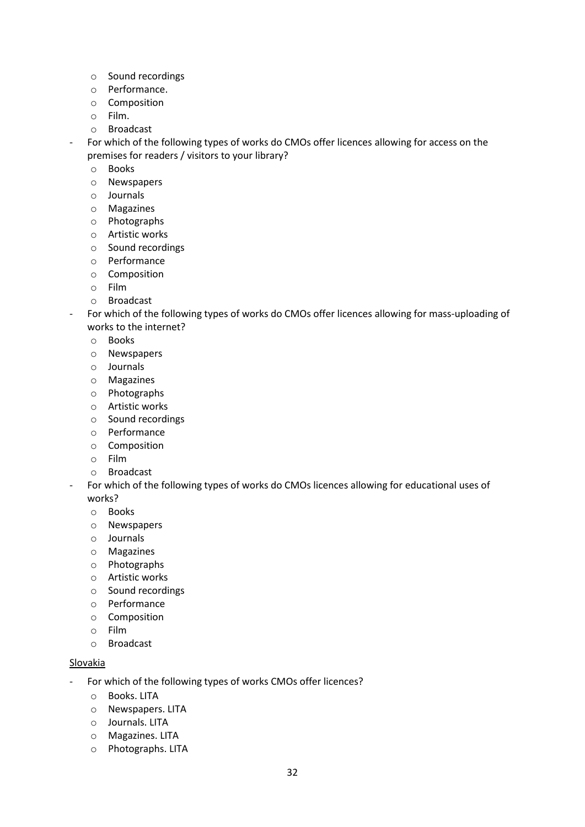- o Sound recordings
- o Performance.
- o Composition
- o Film.
- o Broadcast
- For which of the following types of works do CMOs offer licences allowing for access on the premises for readers / visitors to your library?
	- o Books
	- o Newspapers
	- o Journals
	- o Magazines
	- o Photographs
	- o Artistic works
	- o Sound recordings
	- o Performance
	- o Composition
	- o Film
	- o Broadcast
- For which of the following types of works do CMOs offer licences allowing for mass-uploading of works to the internet?
	- o Books
	- o Newspapers
	- o Journals
	- o Magazines
	- o Photographs
	- o Artistic works
	- o Sound recordings
	- o Performance
	- o Composition
	- o Film
	- o Broadcast
- For which of the following types of works do CMOs licences allowing for educational uses of works?
	- o Books
	- o Newspapers
	- o Journals
	- o Magazines
	- o Photographs
	- o Artistic works
	- o Sound recordings
	- o Performance
	- o Composition
	- o Film
	- o Broadcast

#### **Slovakia**

- For which of the following types of works CMOs offer licences?
	- o Books. LITA
	- o Newspapers. LITA
	- o Journals. LITA
	- o Magazines. LITA
	- o Photographs. LITA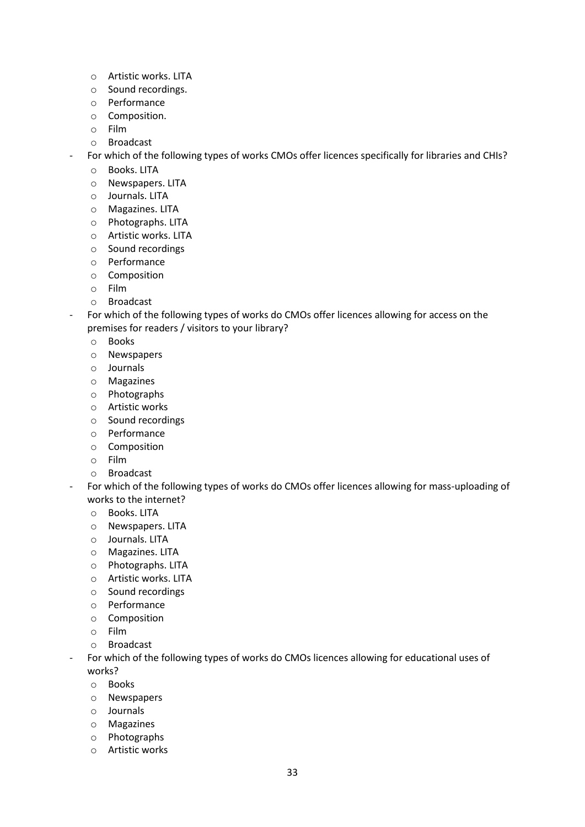- o Artistic works. LITA
- o Sound recordings.
- o Performance
- o Composition.
- o Film
- o Broadcast
- For which of the following types of works CMOs offer licences specifically for libraries and CHIs?
	- o Books. LITA
	- o Newspapers. LITA
	- o Journals. LITA
	- o Magazines. LITA
	- o Photographs. LITA
	- o Artistic works. LITA
	- o Sound recordings
	- o Performance
	- o Composition
	- o Film
	- o Broadcast
- For which of the following types of works do CMOs offer licences allowing for access on the premises for readers / visitors to your library?
	- o Books
	- o Newspapers
	- o Journals
	- o Magazines
	- o Photographs
	- o Artistic works
	- o Sound recordings
	- o Performance
	- o Composition
	- o Film
	- o Broadcast
- For which of the following types of works do CMOs offer licences allowing for mass-uploading of works to the internet?
	- o Books. LITA
	- o Newspapers. LITA
	- o Journals. LITA
	- o Magazines. LITA
	- o Photographs. LITA
	- o Artistic works. LITA
	- o Sound recordings
	- o Performance
	- o Composition
	- o Film
	- o Broadcast
- For which of the following types of works do CMOs licences allowing for educational uses of works?
	- o Books
	- o Newspapers
	- o Journals
	- o Magazines
	- o Photographs
	- o Artistic works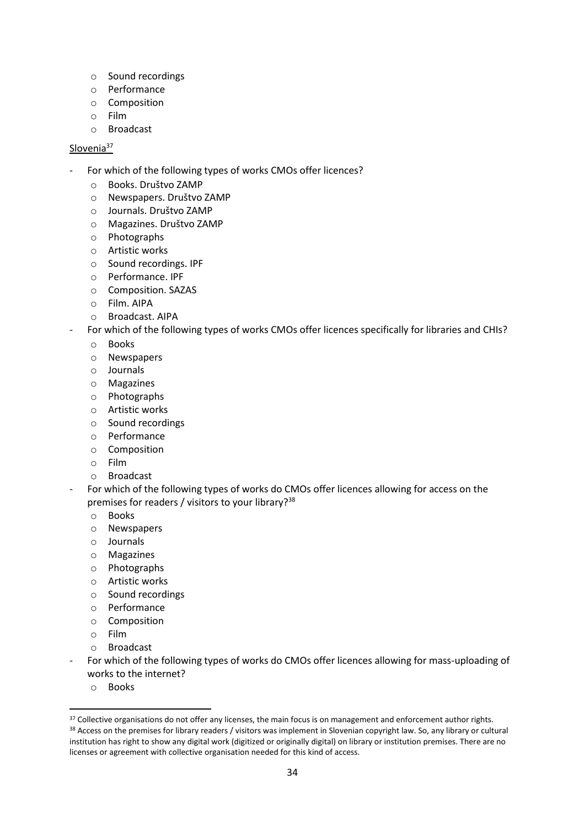- o Sound recordings
- o Performance
- o Composition
- o Film
- o Broadcast

#### Slovenia<sup>37</sup>

- For which of the following types of works CMOs offer licences?
	- o Books. Društvo ZAMP
	- o Newspapers. Društvo ZAMP
	- o Journals. Društvo ZAMP
	- o Magazines. Društvo ZAMP
	- o Photographs
	- o Artistic works
	- o Sound recordings. IPF
	- o Performance. IPF
	- o Composition. SAZAS
	- o Film. AIPA
	- o Broadcast. AIPA
- For which of the following types of works CMOs offer licences specifically for libraries and CHIs?
	- o Books
	- o Newspapers
	- o Journals
	- o Magazines
	- o Photographs
	- o Artistic works
	- o Sound recordings
	- o Performance
	- o Composition
	- o Film
	- o Broadcast
- For which of the following types of works do CMOs offer licences allowing for access on the premises for readers / visitors to your library?<sup>38</sup>
	- o Books
	- o Newspapers
	- o Journals
	- o Magazines
	- o Photographs
	- o Artistic works
	- o Sound recordings
	- o Performance
	- o Composition
	- o Film
	- o Broadcast
- For which of the following types of works do CMOs offer licences allowing for mass-uploading of works to the internet?
	- o Books

 $\overline{a}$ 

<sup>&</sup>lt;sup>37</sup> Collective organisations do not offer any licenses, the main focus is on management and enforcement author rights. <sup>38</sup> Access on the premises for library readers / visitors was implement in Slovenian copyright law. So, any library or cultural institution has right to show any digital work (digitized or originally digital) on library or institution premises. There are no licenses or agreement with collective organisation needed for this kind of access.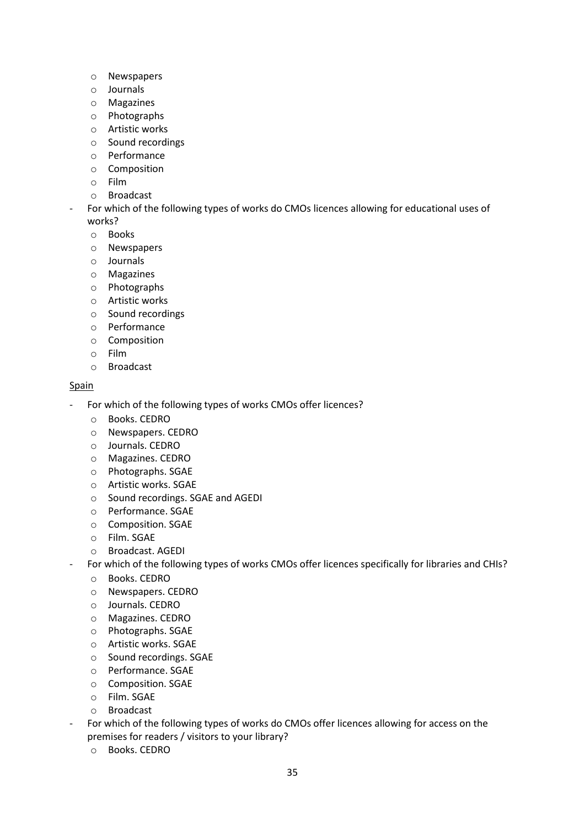- o Newspapers
- o Journals
- o Magazines
- o Photographs
- o Artistic works
- o Sound recordings
- o Performance
- o Composition
- o Film
- o Broadcast
- For which of the following types of works do CMOs licences allowing for educational uses of works?
	- o Books
	- o Newspapers
	- o Journals
	- o Magazines
	- o Photographs
	- o Artistic works
	- o Sound recordings
	- o Performance
	- o Composition
	- o Film
	- o Broadcast

#### Spain

- For which of the following types of works CMOs offer licences?
	- o Books. CEDRO
	- o Newspapers. CEDRO
	- o Journals. CEDRO
	- o Magazines. CEDRO
	- o Photographs. SGAE
	- o Artistic works. SGAE
	- o Sound recordings. SGAE and AGEDI
	- o Performance. SGAE
	- o Composition. SGAE
	- o Film. SGAE
	- o Broadcast. AGEDI
	- For which of the following types of works CMOs offer licences specifically for libraries and CHIs?
		- o Books. CEDRO
		- o Newspapers. CEDRO
		- o Journals. CEDRO
		- o Magazines. CEDRO
		- o Photographs. SGAE
		- o Artistic works. SGAE
		- o Sound recordings. SGAE
		- o Performance. SGAE
		- o Composition. SGAE
		- o Film. SGAE
		- o Broadcast
- For which of the following types of works do CMOs offer licences allowing for access on the premises for readers / visitors to your library?
	- o Books. CEDRO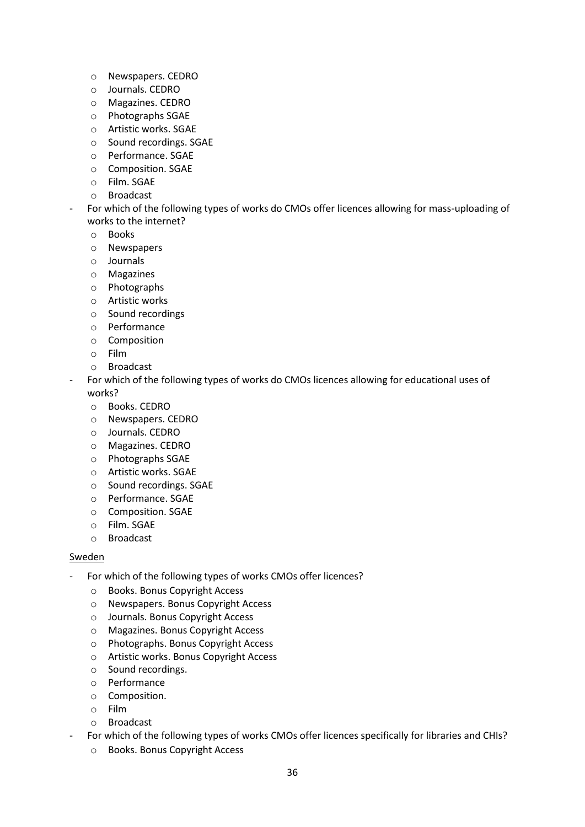- o Newspapers. CEDRO
- o Journals. CEDRO
- o Magazines. CEDRO
- o Photographs SGAE
- o Artistic works. SGAE
- o Sound recordings. SGAE
- o Performance. SGAE
- o Composition. SGAE
- o Film. SGAE
- o Broadcast
- For which of the following types of works do CMOs offer licences allowing for mass-uploading of works to the internet?
	- o Books
	- o Newspapers
	- o Journals
	- o Magazines
	- o Photographs
	- o Artistic works
	- o Sound recordings
	- o Performance
	- o Composition
	- o Film
	- o Broadcast
- For which of the following types of works do CMOs licences allowing for educational uses of works?
	- o Books. CEDRO
	- o Newspapers. CEDRO
	- o Journals. CEDRO
	- o Magazines. CEDRO
	- o Photographs SGAE
	- o Artistic works. SGAE
	- o Sound recordings. SGAE
	- o Performance. SGAE
	- o Composition. SGAE
	- o Film. SGAE
	- o Broadcast

#### Sweden

- For which of the following types of works CMOs offer licences?
	- o Books. Bonus Copyright Access
	- o Newspapers. Bonus Copyright Access
	- o Journals. Bonus Copyright Access
	- o Magazines. Bonus Copyright Access
	- o Photographs. Bonus Copyright Access
	- o Artistic works. Bonus Copyright Access
	- o Sound recordings.
	- o Performance
	- o Composition.
	- o Film
	- o Broadcast
- For which of the following types of works CMOs offer licences specifically for libraries and CHIs?
	- o Books. Bonus Copyright Access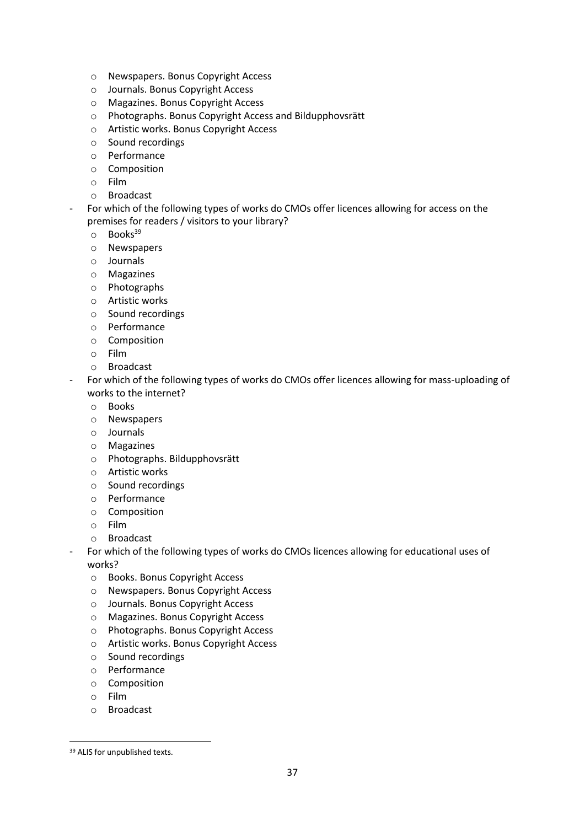- o Newspapers. Bonus Copyright Access
- o Journals. Bonus Copyright Access
- o Magazines. Bonus Copyright Access
- o Photographs. Bonus Copyright Access and Bildupphovsrätt
- o Artistic works. Bonus Copyright Access
- o Sound recordings
- o Performance
- o Composition
- o Film
- o Broadcast
- For which of the following types of works do CMOs offer licences allowing for access on the premises for readers / visitors to your library?
	- $\circ$  Books<sup>39</sup>
	- o Newspapers
	- o Journals
	- o Magazines
	- o Photographs
	- o Artistic works
	- o Sound recordings
	- o Performance
	- o Composition
	- o Film
	- o Broadcast
- For which of the following types of works do CMOs offer licences allowing for mass-uploading of works to the internet?
	- o Books
	- o Newspapers
	- o Journals
	- o Magazines
	- o Photographs. Bildupphovsrätt
	- o Artistic works
	- o Sound recordings
	- o Performance
	- o Composition
	- o Film
	- o Broadcast
- For which of the following types of works do CMOs licences allowing for educational uses of works?
	- o Books. Bonus Copyright Access
	- o Newspapers. Bonus Copyright Access
	- o Journals. Bonus Copyright Access
	- o Magazines. Bonus Copyright Access
	- o Photographs. Bonus Copyright Access
	- o Artistic works. Bonus Copyright Access
	- o Sound recordings
	- o Performance
	- o Composition
	- o Film

 $\overline{a}$ 

o Broadcast

<sup>&</sup>lt;sup>39</sup> ALIS for unpublished texts.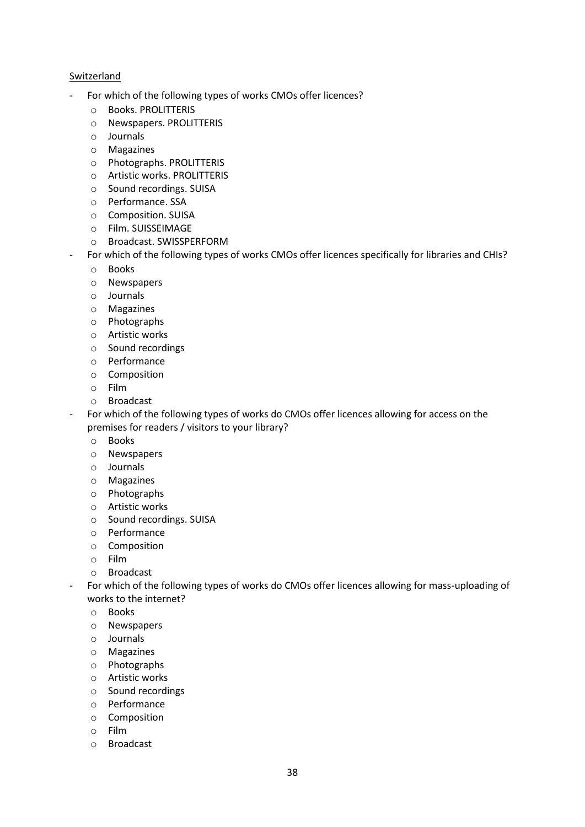#### Switzerland

- For which of the following types of works CMOs offer licences?
	- o Books. PROLITTERIS
	- o Newspapers. PROLITTERIS
	- o Journals
	- o Magazines
	- o Photographs. PROLITTERIS
	- o Artistic works. PROLITTERIS
	- o Sound recordings. SUISA
	- o Performance. SSA
	- o Composition. SUISA
	- o Film. SUISSEIMAGE
	- o Broadcast. SWISSPERFORM
	- For which of the following types of works CMOs offer licences specifically for libraries and CHIs?
	- o Books
	- o Newspapers
	- o Journals
	- o Magazines
	- o Photographs
	- o Artistic works
	- o Sound recordings
	- o Performance
	- o Composition
	- o Film
	- o Broadcast
- For which of the following types of works do CMOs offer licences allowing for access on the premises for readers / visitors to your library?
	- o Books
	- o Newspapers
	- o Journals
	- o Magazines
	- o Photographs
	- o Artistic works
	- o Sound recordings. SUISA
	- o Performance
	- o Composition
	- o Film
	- o Broadcast
- For which of the following types of works do CMOs offer licences allowing for mass-uploading of works to the internet?
	- o Books
	- o Newspapers
	- o Journals
	- o Magazines
	- o Photographs
	- o Artistic works
	- o Sound recordings
	- o Performance
	- o Composition
	- o Film
	- o Broadcast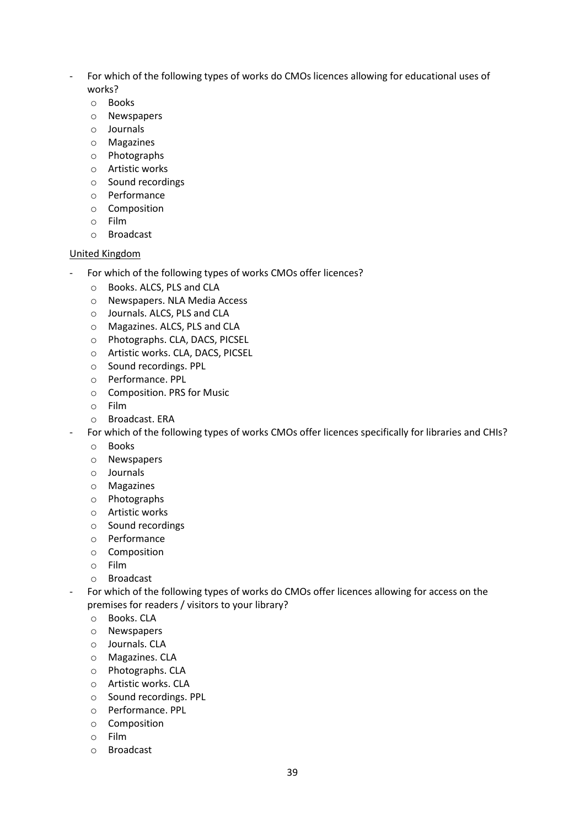- For which of the following types of works do CMOs licences allowing for educational uses of works?
	- o Books
	- o Newspapers
	- o Journals
	- o Magazines
	- o Photographs
	- o Artistic works
	- o Sound recordings
	- o Performance
	- o Composition
	- o Film
	- o Broadcast

#### United Kingdom

- For which of the following types of works CMOs offer licences?
	- o Books. ALCS, PLS and CLA
	- o Newspapers. NLA Media Access
	- o Journals. ALCS, PLS and CLA
	- o Magazines. ALCS, PLS and CLA
	- o Photographs. CLA, DACS, PICSEL
	- o Artistic works. CLA, DACS, PICSEL
	- o Sound recordings. PPL
	- o Performance. PPL
	- o Composition. PRS for Music
	- o Film
	- o Broadcast. ERA
- For which of the following types of works CMOs offer licences specifically for libraries and CHIs?
	- o Books
	- o Newspapers
	- o Journals
	- o Magazines
	- o Photographs
	- o Artistic works
	- o Sound recordings
	- o Performance
	- o Composition
	- o Film
	- o Broadcast
- For which of the following types of works do CMOs offer licences allowing for access on the premises for readers / visitors to your library?
	- o Books. CLA
	- o Newspapers
	- o Journals. CLA
	- o Magazines. CLA
	- o Photographs. CLA
	- o Artistic works. CLA
	- o Sound recordings. PPL
	- o Performance. PPL
	- o Composition
	- o Film
	- o Broadcast